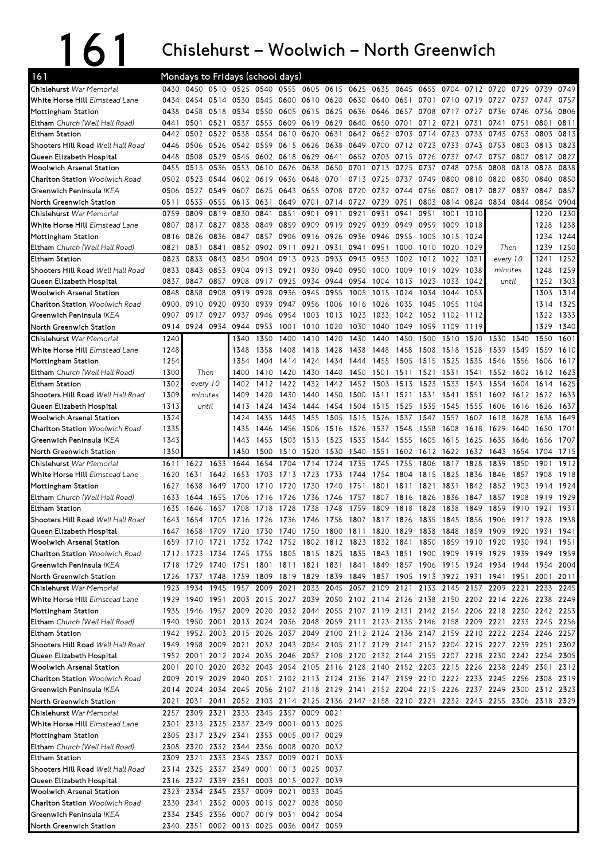## 161 Chislehurst

## – Woolwich – North Greenwich

| 161                                                               |              | Mondays to Fridays (school days) |              |                                                                                           |                |                                                                            |                |                   |                     |                |                |              |                                                 |              |           |          |              |                                      |
|-------------------------------------------------------------------|--------------|----------------------------------|--------------|-------------------------------------------------------------------------------------------|----------------|----------------------------------------------------------------------------|----------------|-------------------|---------------------|----------------|----------------|--------------|-------------------------------------------------|--------------|-----------|----------|--------------|--------------------------------------|
| Chislehurst War Memorial                                          | 0430         |                                  |              | 0450 0510 0525 0540 0555 0605 0615 0625                                                   |                |                                                                            |                |                   |                     | 0635           | 0645           | 0655         | 0704                                            | 0712         | 0720      | 0729     | 0739         | 0749                                 |
| White Horse Hill Elmstead Lane                                    | 0434         | 0454 0514                        |              | 0530 0545 0600                                                                            |                |                                                                            | 0610 0620 0630 |                   |                     |                | 0640 0651 0701 |              | 0710                                            | 0719         | 0727      | 0737     | 0747         | 0757                                 |
| Mottingham Station                                                | 0438         | 0458                             | 0518         | 0534                                                                                      | 0550 0605      |                                                                            | 0615           | 0625 0636         |                     | 0646           | 0657           | 0708         | 0717                                            | 0727         | 0736      | 0746     | 0756         | 0806                                 |
| <b>Eltham</b> Church (Well Hall Road)                             | 0441         | 0501                             | 0521         | 0537                                                                                      |                | 0553 0609                                                                  | 0619           | 0629              | 0640                | 0650 0701      |                | 0712         | 0721                                            | 0731         | 0741      | 0751     | 0801         | 0811                                 |
| Eltham Station                                                    | 0442         | 0502 0522                        |              | 0538                                                                                      | 0554           | 0610                                                                       | 0620           | 0631              | 0642                |                | 0652 0703 0714 |              | 0723                                            | 0733         | 0743      | 0753     | 0803         | 0813                                 |
| Shooters Hill Road Well Hall Road                                 | 0446         | 0506 0526                        |              | 0542 0559 0615                                                                            |                |                                                                            | 0626           | 0638              | 0649                |                | 0700 0712 0723 |              | 0733                                            | 0743         | 0753      | 0803     | 0813         | 0823                                 |
| Queen Elizabeth Hospital                                          | 0448         | 0508                             | 0529         | 0545                                                                                      | 0602 0618      |                                                                            | 0629           | 0641              | 0652                | 0703 0715      |                | 0726         | 0737                                            | 0747         | 0757      | 0807     | 0817         | 0827                                 |
| Woolwich Arsenal Station                                          | 0455         | 0515                             | 0536         | 0553                                                                                      |                | 0610 0626                                                                  | 0638           | 0650 0701         |                     | 0713           | 0725           | 0737         | 0748                                            | 0758         | 0808      | 0818     | 0828         | 0838                                 |
| <b>Charlton Station</b> Woolwich Road                             |              | 0502 0523 0544                   |              |                                                                                           | 0602 0619 0636 |                                                                            | 0648           | 0701 0713         |                     | 0725           | 0737           | 0749         | 0800                                            | 0810         | 0820      | 0830     | 0840         | 0850                                 |
| Greenwich Peninsula IKEA                                          | 0506         | 0527                             | 0549         | 0607                                                                                      | 0625           | 0643                                                                       | 0655           | 0708              | 0720                | 0732           | 0744           | 0756         | 0807                                            | 0817         | 0827      | 0837     | 0847         | 0857                                 |
| North Greenwich Station                                           | 0511         | 0533                             | 0555         | 0613                                                                                      | 0631           | 0649                                                                       | 0701           | 0714 0727         |                     | 0739           | 0751           | 0803         | 0814 0824                                       |              | 0834      | 0844     | 0854         | 0904                                 |
| Chislehurst War Memorial<br>White Horse Hill Elmstead Lane        | 0759<br>0807 | 0809<br>0817                     | 0819<br>0827 | 0830<br>0838                                                                              | 0841<br>0849   | 0851<br>0859                                                               | 0901<br>0909   | 0911<br>0919 0929 | 0921                | 0931<br>0939   | 0941<br>0949   | 0951<br>0959 | 1001<br>1009                                    | 1010<br>1018 |           |          | 1220<br>1228 | 1230<br>1238                         |
| Mottingham Station                                                | 0816         | 0826                             | 0836         | 0847                                                                                      | 0857           | 0906                                                                       | 0916 0926 0936 |                   |                     | 0946           | 0955           | 1005         | 1015                                            | 1024         |           |          | 1234         | 1244                                 |
| Eltham Church (Well Hall Road)                                    | 0821         | 0831                             | 0841         |                                                                                           | 0852 0902 0911 |                                                                            | 0921           | 0931 0941         |                     | 0951           | 1000           | 1010         | 1020                                            | 1029         | Then      |          | 1239         | 1250                                 |
| <b>Eltham Station</b>                                             | 0823         | 0833                             | 0843         | 0854                                                                                      | 0904           | 0913                                                                       | 0923           | 0933 0943         |                     | 0953           | 1002           | 1012         | 1022                                            | 1031         |           | every 10 | 1241         | 1252                                 |
| Shooters Hill Road Well Hall Road                                 | 0833         | 0843                             | 0853         | 0904                                                                                      | 0913 0921      |                                                                            | 0930           | 0940 0950         |                     | 1000           | 1009           | 1019         | 1029                                            | 1038         | minutes   |          | 1248         | 1259                                 |
| Queen Elizabeth Hospital                                          | 0837         | 0847                             | 0857         | 0908                                                                                      | 0917 0925      |                                                                            | 0934 0944 0954 |                   |                     | 1004 1013      |                | 1023         | 1033                                            | 1042         | until     |          | 1252         | 1303                                 |
| <b>Woolwich Arsenal Station</b>                                   | 0848         | 0858                             | 0908         | 0919                                                                                      | 0928           | 0936                                                                       | 0945           | 0955              | 1005                | 1015           | 1024           | 1034         | 1044                                            | 1053         |           |          | 1303         | 1314                                 |
| <b>Charlton Station Woolwich Road</b>                             | 0900         | 0910                             | 0920         | 0930                                                                                      | 0939           | 0947                                                                       | 0956           | 1006              | 1016                | 1026           | 1035           | 1045         | 1055                                            | 1104         |           |          | 1314         | 1325                                 |
| Greenwich Peninsula IKEA                                          | 0907         | 0917                             | 0927         | 0937                                                                                      | 0946           | 0954                                                                       | 1003           | 1013 1023         |                     | 1033           | 1042           | 1052         | 1102                                            | 1112         |           |          | 1322         | 1333                                 |
| North Greenwich Station                                           | 0914         | 0924                             | 0934         | 0944                                                                                      | 0953           | 1001                                                                       | 1010           | 1020              | 1030                | 1040           | 1049           | 1059         | 1109                                            | 1119         |           |          | 1329         | 1340                                 |
| Chislehurst War Memorial                                          | 1240         |                                  |              | 1340                                                                                      | 1350           | 1400                                                                       | 1410           | 1420              | 1430                | 1440           | 1450           | 1500         | 1510                                            | 1520         | 1530      | 1540     | 1550         | 1601                                 |
| White Horse Hill Elmstead Lane                                    | 1248         |                                  |              | 1348                                                                                      | 1358           | 1408                                                                       | 1418           | 1428              | 1438                | 1448           | 1458           | 1508         | 1518                                            | 1528         | 1539      | 1549     | 1559         | 1610                                 |
| Mottingham Station                                                | 1254         |                                  |              | 1354                                                                                      | 1404           | 1414                                                                       | 1424           | 1434              | 1444                | 1455           | 1505           | 1515         | 1525                                            | 1535         | 1546      | 1556     | 1606         | 1617                                 |
| <b>Eltham</b> Church (Well Hall Road)                             | 1300         | Then                             |              | 1400                                                                                      | 1410           | 1420                                                                       | 1430           | 1440              | 1450                | 1501           | 1511           | 1521         | 1531                                            | 1541         | 1552      | 1602     | 1612         | 1623                                 |
| Eltham Station                                                    | 1302         | every 10                         |              | 1402                                                                                      | 1412           | 1422                                                                       | 1432           | 1442              | 1452                | 1503           | 1513           | 1523         | 1533                                            | 1543         | 1554      | 1604     | 1614         | 1625                                 |
| Shooters Hill Road Well Hall Road                                 | 1309         | minutes                          |              | 1409                                                                                      | 1420           | 1430                                                                       | 1440           | 1450 1500         |                     | 1511           | 1521           | 1531         | 1541                                            | 1551         | 1602      | 1612     | 1622         | 1633                                 |
| Queen Elizabeth Hospital                                          | 1313         | until                            |              | 1413                                                                                      | 1424           | 1434                                                                       | 1444           | 1454              | 1504                | 1515           | 1525           | 1535         | 1545                                            | 1555         | 1606      | 1616     | 1626         | 1637                                 |
| Woolwich Arsenal Station                                          | 1324         |                                  |              | 1424                                                                                      | 1435           | 1445                                                                       | 1455           | 1505 1515         |                     | 1526           | 1537           | 1547         | 1557                                            | 1607         | 1618      | 1628     | 1638         | 1649                                 |
| <b>Charlton Station Woolwich Road</b>                             | 1335         |                                  |              | 1435                                                                                      | 1446           | 1456                                                                       | 1506           | 1516 1526         |                     | 1537 1548      |                | 1558         | 1608                                            | 1618         | 1629      | 1640     | 1650         | 1701                                 |
| Greenwich Peninsula <i>IKEA</i>                                   | 1343         |                                  |              | 1443                                                                                      | 1453           | 1503                                                                       | 1513           | 1523 1533         |                     | 1544 1555      |                | 1605         | 1615                                            | 1625         | 1635      | 1646     | 1656         | 1707                                 |
|                                                                   |              |                                  |              |                                                                                           |                |                                                                            |                |                   |                     |                |                |              |                                                 |              | 1643      | 1654     |              | 1704 1715                            |
| North Greenwich Station                                           | 1350         |                                  |              | 1450                                                                                      | 1500           | 1510                                                                       | 1520           |                   | 1530 1540           | 1551 1602 1612 |                |              | 1622 1632                                       |              |           |          |              |                                      |
| Chislehurst War Memorial                                          | 1611         | 1622                             | 1633         | 1644                                                                                      | 1654           | 1704                                                                       | 1714           | 1724              | 1735                | 1745           | 1755           | 1806         | 1817                                            | 1828         | 1839      | 1850     | 1901         | 1912                                 |
| White Horse Hill Elmstead Lane                                    | 1620         | 1631                             | 1642         | 1653                                                                                      | 1703           | 1713                                                                       | 1723           | 1733              | 1744                | 1754           | 1804           | 1815         | 1825                                            | 1836         | 1846      | 1857     | 1908         | 1918                                 |
| Mottingham Station                                                | 1627         | 1638                             | 1649         | 1700                                                                                      | 1710           | 1720                                                                       | 1730           | 1740              | 1751                | 1801           | 1811           | 1821         | 1831                                            | 1842         | 1852      | 1903     | 1914         | 1924                                 |
| Eltham Church (Well Hall Road)                                    | 1633         | 1644                             | 1655         | 1706                                                                                      | 1716           | 1726                                                                       | 1736           | 1746              | 1757                | 1807           | 1816           | 1826         | 1836                                            | 1847         | 1857      | 1908     | 1919         | 1929                                 |
| Eltham Station                                                    | 1635         | 1646                             | 1657         | 1708                                                                                      | 1718           | 1728                                                                       | 1738           | 1748              | 1759                | 1809           | 1818           | 1828         | 1838                                            | 1849         | 1859      | 1910     | 1921         | 1931                                 |
| Shooters Hill Road Well Hall Road                                 |              |                                  |              | 1643 1654 1705 1716 1726 1736 1746 1756 1807 1817 1826 1835 1845 1856 1906 1917 1928 1938 |                |                                                                            |                |                   |                     |                |                |              |                                                 |              |           |          |              |                                      |
| Queen Elizabeth Hospital                                          | 164/         | 1658                             | 1709         | 1720                                                                                      | 1730           | 1740                                                                       | 1750           | 1800 1811         |                     | 1820           | 1829           | 1838         | 1848                                            | 1859         | 1909      | 1920     | 1931         | 1941                                 |
| Woolwich Arsenal Station                                          |              | 1659 1710                        | 1721<br>1734 | 1732<br>1745                                                                              |                | 1742 1752 1802 1812 1823                                                   |                |                   |                     | 1832 1841      |                |              | 1850 1859 1910 1920                             |              |           | 1930     | 1941         | 1951                                 |
| <b>Charlton Station</b> Woolwich Road<br>Greenwich Peninsula IKEA |              | 1712 1723<br>1718 1729 1740      |              | 1751 1801 1811 1821 1831 1841 1849 1857 1906 1915 1924 1934 1944 1954 2004                |                | 1755 1805 1815 1825 1835 1843 1851 1900 1909 1919 1929 1939 1949           |                |                   |                     |                |                |              |                                                 |              |           |          |              |                                      |
| North Greenwich Station                                           |              | 1726 1737 1748                   |              | 1759 1809 1819 1829                                                                       |                |                                                                            |                |                   |                     |                |                |              |                                                 |              | 1941 1951 |          | 2001         |                                      |
| Chislehurst War Memorial                                          | 1923         | 1934                             | 1945         | 1957                                                                                      |                | 2009 2021                                                                  | 2033           |                   | 2045 2057 2109 2121 |                |                |              | 1839 1849 1857 1905 1913 1922 1931<br>2133 2145 | 2157         | 2209      | 2221     | 2233         |                                      |
| White Horse Hill Elmstead Lane                                    |              |                                  |              | 1929 1940 1951 2003 2015 2027 2039 2050 2102 2114 2126 2138 2150 2202 2214 2226 2238 2249 |                |                                                                            |                |                   |                     |                |                |              |                                                 |              |           |          |              |                                      |
| Mottingham Station                                                |              |                                  |              | 1935 1946 1957 2009 2020 2032 2044 2055 2107 2119 2131 2142 2154 2206 2218 2230 2242 2253 |                |                                                                            |                |                   |                     |                |                |              |                                                 |              |           |          |              |                                      |
| <b>Eltham</b> Church (Well Hall Road)                             |              |                                  |              | 1940 1950 2001 2013 2024 2036 2048 2059 2111 2123 2135 2146 2158 2209 2221 2233 2245 2256 |                |                                                                            |                |                   |                     |                |                |              |                                                 |              |           |          |              |                                      |
| Eltham Station                                                    |              |                                  |              | 1942 1952 2003 2015 2026 2037 2049 2100 2112 2124 2136 2147 2159 2210 2222 2234 2246      |                |                                                                            |                |                   |                     |                |                |              |                                                 |              |           |          |              | 2257                                 |
| Shooters Hill Road Well Hall Road                                 |              |                                  |              | 1949 1958 2009 2021 2032 2043 2054 2105 2117 2129 2141 2152 2204 2215 2227 2239 2251      |                |                                                                            |                |                   |                     |                |                |              |                                                 |              |           |          |              |                                      |
| Queen Elizabeth Hospital                                          |              | 1952 2001                        |              | 2012 2024 2035 2046 2057 2108 2120 2132 2144 2155 2207 2218 2230 2242 2254 2305           |                |                                                                            |                |                   |                     |                |                |              |                                                 |              |           |          |              |                                      |
| Woolwich Arsenal Station                                          | 2001         |                                  |              | 2010 2020 2032 2043 2054 2105 2116 2128 2140 2152 2203 2215 2226 2238 2249 2301           |                |                                                                            |                |                   |                     |                |                |              |                                                 |              |           |          |              |                                      |
| Charlton Station Woolwich Road                                    |              |                                  |              | 2009 2019 2029 2040 2051 2102 2113 2124 2136 2147 2159 2210 2222 2233 2245 2256 2308 2319 |                |                                                                            |                |                   |                     |                |                |              |                                                 |              |           |          |              |                                      |
| Greenwich Peninsula IKEA                                          |              |                                  |              | 2014 2024 2034 2045 2056 2107 2118 2129 2141 2152 2204 2215 2226 2237 2249 2300 2312 2323 |                |                                                                            |                |                   |                     |                |                |              |                                                 |              |           |          |              |                                      |
| North Greenwich Station                                           |              | 2021 2031                        | 2041         |                                                                                           |                | 2052 2103 2114 2125 2136 2147 2158 2210 2221 2232 2243 2255 2306 2318 2329 |                |                   |                     |                |                |              |                                                 |              |           |          |              |                                      |
| Chislehurst War Memorial                                          |              |                                  |              | 2257 2309 2321 2333 2345 2357 0009 0021                                                   |                |                                                                            |                |                   |                     |                |                |              |                                                 |              |           |          |              |                                      |
| White Horse Hill Elmstead Lane                                    | 2301         |                                  |              | 2313 2325 2337                                                                            |                | 2349 0001                                                                  | 0013 0025      |                   |                     |                |                |              |                                                 |              |           |          |              |                                      |
| Mottingham Station                                                |              | 2305 2317 2329 2341              |              |                                                                                           |                | 2353 0005 0017 0029                                                        |                |                   |                     |                |                |              |                                                 |              |           |          |              |                                      |
| <b>Eltham</b> Church (Well Hall Road)                             |              |                                  |              | 2308 2320 2332 2344 2356 0008 0020 0032                                                   |                |                                                                            |                |                   |                     |                |                |              |                                                 |              |           |          |              |                                      |
| Eltham Station                                                    |              |                                  |              | 2309 2321 2333 2345 2357 0009 0021                                                        |                |                                                                            |                | 0033              |                     |                |                |              |                                                 |              |           |          |              |                                      |
| Shooters Hill Road <i>Well Hall Road</i>                          |              |                                  |              | 2314 2325 2337 2349 0001 0013 0025 0037                                                   |                |                                                                            |                |                   |                     |                |                |              |                                                 |              |           |          |              |                                      |
| Queen Elizabeth Hospital                                          |              | 2316 2327 2339 2351              |              |                                                                                           |                | 0003 0015 0027 0039                                                        |                |                   |                     |                |                |              |                                                 |              |           |          |              |                                      |
| Woolwich Arsenal Station                                          |              |                                  |              | 2323 2334 2345 2357 0009 0021                                                             |                |                                                                            | 0033           | 0045              |                     |                |                |              |                                                 |              |           |          |              |                                      |
| <b>Charlton Station</b> Woolwich Road                             |              |                                  |              | 2330 2341 2352 0003 0015 0027 0038                                                        |                |                                                                            |                | 0050              |                     |                |                |              |                                                 |              |           |          |              |                                      |
| Greenwich Peninsula IKEA<br>North Greenwich Station               |              |                                  |              | 2334 2345 2356 0007 0019 0031 0042 0054<br>2340 2351 0002 0013 0025 0036 0047 0059        |                |                                                                            |                |                   |                     |                |                |              |                                                 |              |           |          |              | 1959<br>2011<br>2245<br>2302<br>2312 |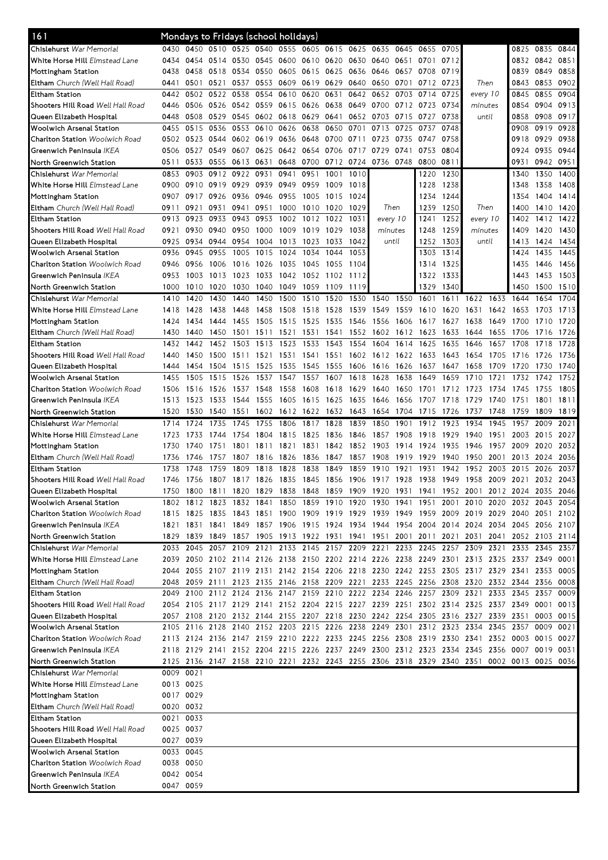| 161                                                               | Mondays to Fridays (school holidays) |                        |                                         |      |                |                |                          |                |                |                                                                                           |           |                |           |                     |                     |           |           |           |
|-------------------------------------------------------------------|--------------------------------------|------------------------|-----------------------------------------|------|----------------|----------------|--------------------------|----------------|----------------|-------------------------------------------------------------------------------------------|-----------|----------------|-----------|---------------------|---------------------|-----------|-----------|-----------|
| Chislehurst War Memorial                                          | 0430                                 | 0450                   | 0510 0525 0540 0555 0605 0615 0625 0635 |      |                |                |                          |                |                |                                                                                           | 0645      | 0655           | 0705      |                     |                     | 0825      | 0835      | 0844      |
| <b>White Horse Hill</b> Elmstead Lane                             | 0434                                 | 0454                   | 0514 0530                               |      |                | 0545 0600 0610 |                          | 0620 0630 0640 |                |                                                                                           | 0651      | 0701           | 0712      |                     |                     | 0832      | 0842 0851 |           |
| Mottingham Station                                                | 0438                                 | 0458                   | 0518                                    | 0534 | 0550           | 0605 0615      |                          | 0625           | 0636           | 0646                                                                                      | 0657      | 0708           | 0719      |                     |                     | 0839      | 0849      | 0858      |
| <b>Eltham</b> Church (Well Hall Road)                             | 0441                                 | 0501                   | 0521                                    | 0537 | 0553           | 0609 0619      |                          | 0629           | 0640           | 0650                                                                                      | 0701      | 0712           | 0723      | Then                |                     | 0843      | 0853      | 0902      |
| <b>Eltham Station</b>                                             | 0442                                 | 0502                   | 0522                                    | 0538 | 0554           | 0610           | 0620                     | 0631           | 0642           | 0652                                                                                      | 0703      | 0714           | 0725      | every 10            |                     | 0845      | 0855      | 0904      |
| Shooters Hill Road Well Hall Road                                 | 0446                                 | 0506                   | 0526 0542                               |      | 0559           | 0615 0626      |                          | 0638           | 0649           | 0700                                                                                      | 0712 0723 |                | 0734      | minutes             |                     | 0854      | 0904      | 0913      |
| Queen Elizabeth Hospital                                          | 0448                                 | 0508                   | 0529                                    | 0545 |                | 0602 0618 0629 |                          | 0641           | 0652           | 0703                                                                                      | 0715      | 0727           | 0738      | until               |                     | 0858      | 0908      | 0917      |
| Woolwich Arsenal Station                                          | 0455                                 | 0515                   | 0536                                    | 0553 | 0610           | 0626 0638      |                          | 0650           | 0701           | 0713                                                                                      | 0725      | 0737           | 0748      |                     |                     | 0908      | 0919      | 0928      |
| <b>Charlton Station</b> Woolwich Road                             | 0502                                 | 0523                   | 0544 0602                               |      | 0619           | 0636 0648      |                          | 0700           | 0711           | 0723                                                                                      | 0735      | 0747           | 0758      |                     |                     | 0918      | 0929      | 0938      |
| Greenwich Peninsula IKEA                                          | 0506                                 | 0527                   | 0549                                    | 0607 | 0625           | 0642           | 0654                     | 0706           | 0717           | 0729                                                                                      | 0741      | 0753           | 0804      |                     |                     | 0924      | 0935      | 0944      |
| North Greenwich Station                                           | 0511                                 | 0533                   | 0555 0613                               |      | 0631           |                | 0648 0700                |                |                | 0712 0724 0736 0748                                                                       |           | 0800 0811      |           |                     |                     | 0931      | 0942 0951 |           |
| Chislehurst War Memorial                                          | 0853                                 | 0903                   | 0912 0922                               |      | 0931           | 0941           | 0951                     | 1001           | 1010           |                                                                                           |           | 1220           | 1230      |                     |                     | 1340      | 1350      | 1400      |
| White Horse Hill Elmstead Lane                                    | 0900                                 | 0910                   | 0919 0929                               |      | 0939           | 0949           | 0959                     | 1009           | 1018           |                                                                                           |           | 1228           | 1238      |                     |                     | 1348      | 1358      | 1408      |
| Mottingham Station                                                | 0907                                 | 0917                   | 0926                                    | 0936 | 0946           | 0955           | 1005                     | 1015           | 1024           |                                                                                           |           | 1234           | 1244      |                     |                     | 1354      | 1404      | 1414      |
| <b>Eltham</b> Church (Well Hall Road)                             | 0911                                 | 0921                   | 0931                                    | 0941 | 0951           | 1000           | 1010                     | 1020           | 1029           | Then                                                                                      |           | 1239           | 1250      | Then                |                     | 1400      | 1410      | 1420      |
| Eltham Station                                                    | 0913                                 | 0923                   | 0933                                    | 0943 | 0953           | 1002           | 1012                     | 1022           | 1031           | every 10                                                                                  |           | 1241           | 1252      | every 10            |                     | 1402      | 1412      | 1422      |
| Shooters Hill Road Well Hall Road                                 | 0921                                 | 0930                   | 0940                                    | 0950 | 1000           | 1009           | 1019                     | 1029           | 1038           | minutes                                                                                   |           | 1248           | 1259      | minutes             |                     | 1409      | 1420      | 1430      |
| Queen Elizabeth Hospital                                          | 0925                                 | 0934                   | 0944 0954                               |      | 1004           | 1013 1023      |                          | 1033           | 1042           | until                                                                                     |           |                | 1252 1303 | until               |                     | 1413      |           | 1424 1434 |
| Woolwich Arsenal Station                                          | 0936                                 | 0945                   | 0955                                    | 1005 | 1015           | 1024           | 1034                     | 1044           | 1053           |                                                                                           |           | 1303           | 1314      |                     |                     | 1424      | 1435      | 1445      |
| <b>Charlton Station Woolwich Road</b>                             | 0946                                 | 0956                   | 1006                                    | 1016 | 1026           | 1035           | 1045                     | 1055           | 1104           |                                                                                           |           | 1314           | 1325      |                     |                     | 1435      | 1446      | 1456      |
| Greenwich Peninsula IKEA                                          | 0953                                 | 1003                   | 1013                                    | 1023 | 1033           | 1042           | 1052                     | 1102           | 1112           |                                                                                           |           | 1322           | 1333      |                     |                     | 1443      | 1453      | 1503      |
| North Greenwich Station                                           | 1000                                 | 1010                   | 1020                                    | 1030 | 1040           | 1049           | 1059                     | 1109           | 1119           |                                                                                           |           | 1329           | 1340      |                     |                     | 1450      | 1500      | 1510      |
| Chislehurst War Memorial                                          | 1410                                 | 1420                   | 1430                                    | 1440 | 1450           | 1500           | 1510                     | 1520           | 1530           | 1540                                                                                      | 1550      | 1601           | 1611      | 1622                | 1633                | 1644      | 1654      | 1704      |
| White Horse Hill Elmstead Lane                                    | 1418                                 | 1428                   | 1438                                    | 1448 | 1458           | 1508           | 1518                     | 1528           | 1539           | 1549                                                                                      | 1559      | 1610           | 1620      | 1631                | 1642                | 1653      | 1703      | 1713      |
| Mottingham Station                                                | 1424                                 | 1434                   | 1444                                    | 1455 | 1505           | 1515           | 1525                     | 1535           | 1546           | 1556                                                                                      | 1606      | 1617           | 1627      | 1638                | 1649                | 1700      | 1710      | 1720      |
| Eltham Church (Well Hall Road)                                    | 1430                                 | 1440                   | 1450 1501                               |      | 1511           | 1521           | 1531                     | 1541           | 1552           | 1602                                                                                      | 1612 1623 |                | 1633      | 1644                | 1655                | -1706     | 1716      | 1726      |
| <b>Eltham Station</b>                                             | 1432                                 | 1442                   | 1452                                    | 1503 | 1513           | 1523           | 1533                     | 1543           | 1554           | 1604                                                                                      | 1614      | 1625           | 1635      | 1646                | 1657                | 1708      | 1718      | 1728      |
| Shooters Hill Road Well Hall Road                                 | 1440                                 | 1450                   | 1500                                    | 1511 | 1521           | 1531           | 1541                     | 1551           | 1602           | 1612                                                                                      | 1622      | 1633           | 1643      | 1654                | 1705                | 1716      | 1726      | 1736      |
| Queen Elizabeth Hospital                                          | 1444                                 | 1454                   | 1504                                    | 1515 | 1525           | 1535           | 1545                     | 1555           | 1606           | 1616                                                                                      | 1626      | 1637           | 1647      | 1658                | 1709                | 1720      | 1730      | 1740      |
| Woolwich Arsenal Station                                          | 1455                                 | 1505                   | 1515                                    | 1526 | 1537           | 1547           | 1557                     | 1607           | 1618           | 1628                                                                                      | 1638      | 1649           | 1659      | 1710                | 1721                | 1732      | 1742      | 1752      |
| <b>Charlton Station Woolwich Road</b>                             | 1506                                 | 1516                   | 1526 1537                               |      | 1548           | 1558           | 1608                     | 1618 1629      |                | 1640                                                                                      | 1650      | 1701           | 1712 1723 |                     | 1734                | 1745      | 1755      | 1805      |
| Greenwich Peninsula <i>IKEA</i>                                   | 1513                                 | 1523                   | 1533 1544                               |      | 1555           | 1605           | 1615                     | 1625 1635      |                | 1646                                                                                      | 1656      | 1707           | 1718      | 1729                | 1740                | 1751      | 1801      | 1811      |
| North Greenwich Station                                           | 1520                                 | 1530                   | 1540 1551                               |      | 1602 1612 1622 |                |                          |                | 1632 1643      | 1654                                                                                      | 1704      | 1715           | 1726      | 1737                | 1748                | 1759      | 1809      | 1819      |
|                                                                   |                                      |                        |                                         |      |                |                |                          |                |                |                                                                                           |           |                |           |                     |                     |           |           |           |
| Chislehurst War Memorial                                          | 1714                                 | 1724                   | 1735                                    | 1745 | 1755           | 1806           | 1817                     | 1828           | 1839           | 1850                                                                                      | 1901      | 1912           | 1923      | 1934                | 1945                | 1957      | 2009      | 2021      |
| White Horse Hill Elmstead Lane                                    | 1723                                 | 1733                   | 1744                                    | 1754 | 1804           | 1815           | 1825                     | 1836           | 1846           | 1857                                                                                      | 1908      | 1918           | 1929      | 1940                | 1951                | 2003      | 2015      | 2027      |
| Mottingham Station                                                | 1730                                 | 1740                   | 1751                                    | 1801 | 1811           | 1821           | 1831                     | 1842           | 1852           | 1903                                                                                      | 1914      | 1924           | 1935      | 1946                | 1957                | 2009      | 2020      | 2032      |
| Eltham Church (Well Hall Road)                                    | 1736                                 | 1746                   | 1757                                    | 1807 | 1816           | 1826           | 1836                     | 1847           | 1857           | 1908                                                                                      | 1919      | 1929           | 1940      | 1950                | 2001                | 2013      | 2024      | 2036      |
| Eltham Station                                                    | 1738                                 | 1748                   | 1759                                    | 1809 | 1818           | 1828           | 1838                     | 1849           | 1859           | 1910                                                                                      | 1921      | 1931           | 1942      | 1952                | 2003                | 2015      | 2026      | 2037      |
| Shooters Hill Road Well Hall Road                                 | 1746                                 |                        |                                         |      |                |                |                          |                |                | 1756 1807 1817 1826 1835 1845 1856 1906 1917 1928 1938 1949 1958 2009 2021 2032 2043      |           |                |           |                     |                     |           |           |           |
| Queen Elizabeth Hospital                                          | 1750                                 | 1800                   | 1811                                    | 1820 | 1829           | 1838           | 1848                     |                | 1859 1909 1920 |                                                                                           | 1931      | 1941           |           | 1952 2001           |                     | 2012 2024 | 2035      | 2046      |
| Woolwich Arsenal Station                                          |                                      |                        | 1802 1812 1823 1832                     |      | 1841           |                | 1850 1859 1910 1920 1930 |                |                |                                                                                           | 1941      | 1951           | 2001      | 2010 2020 2032 2043 |                     |           |           | 2054      |
| <b>Charlton Station</b> Woolwich Road                             |                                      |                        |                                         |      |                |                |                          |                |                | 1815 1825 1835 1843 1851 1900 1909 1919 1929 1939 1949 1959 2009 2019 2029 2040 2051      |           |                |           |                     |                     |           |           | 2102      |
| Greenwich Peninsula IKEA                                          |                                      |                        |                                         |      |                |                |                          |                |                | 1821 1831 1841 1849 1857 1906 1915 1924 1934 1944 1954 2004 2014 2024 2034 2045 2056 2107 |           |                |           |                     |                     |           |           |           |
| North Greenwich Station                                           |                                      |                        |                                         |      |                |                |                          |                |                | 1829 1839 1849 1857 1905 1913 1922 1931 1941 1951 2001 2011 2021 2031                     |           |                |           |                     | 2041 2052 2103 2114 |           |           |           |
| Chislehurst War Memorial                                          | 2033                                 | 2045                   | 2057 2109                               |      |                |                |                          |                |                | 2121 2133 2145 2157 2209 2221                                                             |           | 2233 2245 2257 |           | 2309                | 2321 2333           |           | 2345      | 2357      |
| White Horse Hill Elmstead Lane                                    |                                      |                        |                                         |      |                |                |                          |                |                | 2039 2050 2102 2114 2126 2138 2150 2202 2214 2226 2238 2249 2301 2313 2325 2337 2349 0001 |           |                |           |                     |                     |           |           |           |
| Mottingham Station                                                | 2044                                 |                        |                                         |      |                |                |                          |                |                | 2055 2107 2119 2131 2142 2154 2206 2218 2230 2242 2253 2305 2317 2329 2341 2353 0005      |           |                |           |                     |                     |           |           |           |
| <b>Eltham</b> Church (Well Hall Road)                             |                                      |                        |                                         |      |                |                |                          |                |                | 2048 2059 2111 2123 2135 2146 2158 2209 2221 2233 2245 2256 2308 2320 2332 2344 2356 0008 |           |                |           |                     |                     |           |           |           |
| Eltham Station                                                    |                                      |                        |                                         |      |                |                |                          |                |                | 2049 2100 2112 2124 2136 2147 2159 2210 2222 2234 2246 2257 2309 2321 2333 2345 2357      |           |                |           |                     |                     |           |           | 0009      |
| Shooters Hill Road <i>Well Hall Road</i>                          | 2054                                 |                        |                                         |      |                |                |                          |                |                | 2105 2117 2129 2141 2152 2204 2215 2227 2239 2251 2302 2314 2325 2337 2349 0001           |           |                |           |                     |                     |           |           | 0013      |
| Queen Elizabeth Hospital                                          |                                      |                        |                                         |      |                |                |                          |                |                | 2057 2108 2120 2132 2144 2155 2207 2218 2230 2242 2254 2305 2316 2327 2339 2351           |           |                |           |                     |                     |           |           | 0003 0015 |
| Woolwich Arsenal Station                                          |                                      |                        |                                         |      |                |                |                          |                |                | 2105 2116 2128 2140 2152 2203 2215 2226 2238 2249 2301 2312 2323 2334 2345 2357           |           |                |           |                     |                     |           | 0009      | 0021      |
| Charlton Station Woolwich Road<br>Greenwich Peninsula <i>IKEA</i> |                                      |                        |                                         |      |                |                |                          |                |                | 2113 2124 2136 2147 2159 2210 2222 2233 2245 2256 2308 2319 2330 2341 2352 0003 0015 0027 |           |                |           |                     |                     |           |           |           |
|                                                                   |                                      |                        |                                         |      |                |                |                          |                |                | 2118 2129 2141 2152 2204 2215 2226 2237 2249 2300 2312 2323 2334 2345 2356 0007 0019 0031 |           |                |           |                     |                     |           |           |           |
| North Greenwich Station                                           |                                      |                        |                                         |      |                |                |                          |                |                | 2125 2136 2147 2158 2210 2221 2232 2243 2255 2306 2318 2329 2340 2351 0002 0013 0025 0036 |           |                |           |                     |                     |           |           |           |
| Chislehurst War Memorial<br>White Horse Hill Elmstead Lane        |                                      | 0009 0021<br>0013 0025 |                                         |      |                |                |                          |                |                |                                                                                           |           |                |           |                     |                     |           |           |           |
|                                                                   |                                      | 0017 0029              |                                         |      |                |                |                          |                |                |                                                                                           |           |                |           |                     |                     |           |           |           |
| Mottingham Station                                                |                                      |                        |                                         |      |                |                |                          |                |                |                                                                                           |           |                |           |                     |                     |           |           |           |
| <b>Eltham</b> Church (Well Hall Road)<br>Eltham Station           |                                      | 0020 0032<br>0021 0033 |                                         |      |                |                |                          |                |                |                                                                                           |           |                |           |                     |                     |           |           |           |
| Shooters Hill Road <i>Well Hall Road</i>                          |                                      | 0025 0037              |                                         |      |                |                |                          |                |                |                                                                                           |           |                |           |                     |                     |           |           |           |
| Queen Elizabeth Hospital                                          |                                      | 0027 0039              |                                         |      |                |                |                          |                |                |                                                                                           |           |                |           |                     |                     |           |           |           |
| Woolwich Arsenal Station                                          |                                      | 0033 0045              |                                         |      |                |                |                          |                |                |                                                                                           |           |                |           |                     |                     |           |           |           |
| Charlton Station Woolwich Road                                    |                                      | 0038 0050              |                                         |      |                |                |                          |                |                |                                                                                           |           |                |           |                     |                     |           |           |           |
| Greenwich Peninsula <i>IKEA</i>                                   |                                      | 0042 0054              |                                         |      |                |                |                          |                |                |                                                                                           |           |                |           |                     |                     |           |           |           |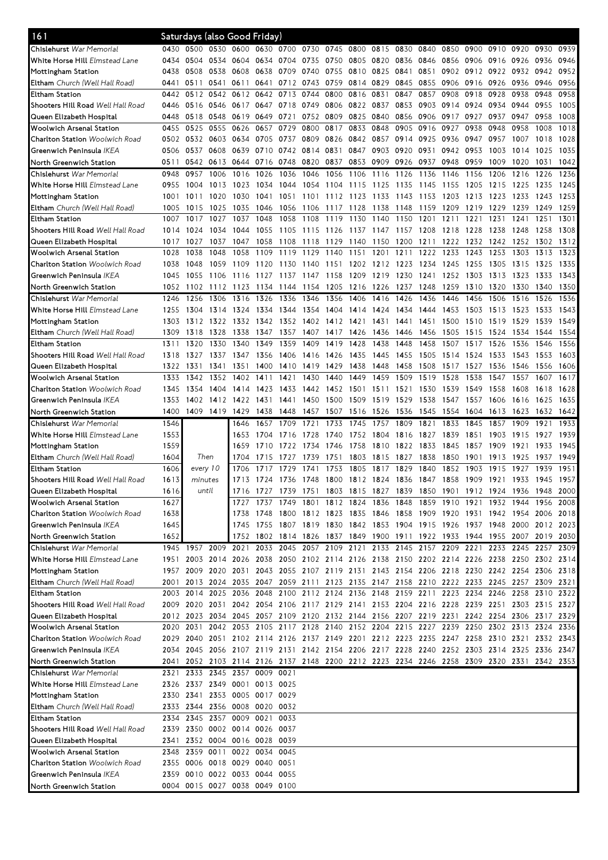| 161                                      |      | Saturdays (also Good Friday)                                                              |                |                                                                                      |                |           |      |           |                |           |                                                                       |      |                |           |                |                          |      |      |
|------------------------------------------|------|-------------------------------------------------------------------------------------------|----------------|--------------------------------------------------------------------------------------|----------------|-----------|------|-----------|----------------|-----------|-----------------------------------------------------------------------|------|----------------|-----------|----------------|--------------------------|------|------|
| Chislehurst War Memorial                 | 0430 | 0500 0530 0600                                                                            |                |                                                                                      | 0630 0700 0730 |           |      | 0745 0800 |                | 0815      | 0830                                                                  | 0840 | 0850           | 0900      | 0910 0920      |                          | 0930 | 0939 |
| White Horse Hill Elmstead Lane           | 0434 | 0504                                                                                      | 0534 0604      |                                                                                      | 0634           | 0704      | 0735 | 0750      | 0805 0820      |           | 0836                                                                  | 0846 | 0856           | 0906      | 0916 0926      |                          | 0936 | 0946 |
| Mottingham Station                       | 0438 | 0508                                                                                      | 0538           | 0608                                                                                 | 0638           | 0709 0740 |      |           | 0755 0810 0825 |           | 0841                                                                  | 0851 | 0902           |           | 0912 0922 0932 |                          | 0942 | 0952 |
| Eltham Church (Well Hall Road)           | 0441 | 0511                                                                                      | 0541 0611      |                                                                                      | 0641           | 0712 0743 |      | 0759      | 0814 0829      |           | 0845                                                                  | 0855 | 0906           | 0916      | 0926           | 0936                     | 0946 | 0956 |
| <b>Eltham Station</b>                    | 0442 | 0512                                                                                      | 0542           | 0612                                                                                 | 0642           | 0713      | 0744 | 0800      | 0816           | 0831      | 0847                                                                  | 0857 | 0908           | 0918      | 0928           | 0938                     | 0948 | 0958 |
| Shooters Hill Road Well Hall Road        | 0446 | 0516                                                                                      | 0546           | 0617                                                                                 | 0647           | 0718      | 0749 | 0806      | 0822           | 0837      | 0853                                                                  | 0903 | 0914           | 0924      | 0934           | 0944                     | 0955 | 1005 |
| Queen Elizabeth Hospital                 | 0448 | 0518                                                                                      | 0548           | 0619                                                                                 | 0649           | 0721      | 0752 | 0809      | 0825           | 0840      | 0856                                                                  | 0906 | 0917           | 0927      | 0937           | 0947                     | 0958 | 1008 |
| Woolwich Arsenal Station                 | 0455 | 0525                                                                                      | 0555           | 0626                                                                                 | 0657           | 0729      | 0800 | 0817      | 0833           | 0848      | 0905                                                                  | 0916 | 0927           | 0938      | 0948           | 0958                     | 1008 | 1018 |
| Charlton Station Woolwich Road           | 0502 | 0532                                                                                      | 0603           | 0634                                                                                 | 0705           | 0737      | 0809 | 0826      | 0842           | 0857      | 0914                                                                  | 0925 | 0936           | 0947      | 0957           | 1007                     | 1018 | 1028 |
| Greenwich Peninsula <i>IKEA</i>          | 0506 | 0537                                                                                      | 0608           | 0639                                                                                 |                | 0710 0742 | 0814 | 0831      | 0847           | 0903      | 0920                                                                  | 0931 | 0942           | 0953      | 1003           | 1014                     | 1025 | 1035 |
| North Greenwich Station                  | 0511 | 0542                                                                                      | 0613 0644      |                                                                                      | 0716 0748 0820 |           |      | 0837      |                | 0853 0909 | 0926                                                                  | 0937 | 0948           | 0959      | 1009           | 1020                     | 1031 | 1042 |
| Chislehurst War Memorial                 | 0948 | 0957                                                                                      | 1006           | 1016                                                                                 | 1026           | 1036      | 1046 | 1056      | 1106           | 1116      | 1126                                                                  | 1136 | 1146           | 1156      | 1206           | 1216                     | 1226 | 1236 |
| White Horse Hill Elmstead Lane           | 0955 | 1004                                                                                      | 1013           | 1023                                                                                 | 1034           | 1044      | 1054 | 1104      | 1115           | 1125      | 1135                                                                  | 1145 | 1155           | 1205      | 1215           | 1225                     | 1235 | 1245 |
| Mottingham Station                       | 1001 | 1011                                                                                      | 1020           | 1030                                                                                 | 1041           | 1051      | 1101 | 1112      | 1123           | 1133      | 1143                                                                  | 1153 | 1203           | 1213      | 1223           | 1233                     | 1243 | 1253 |
| Eltham Church (Well Hall Road)           | 1005 | 1015                                                                                      | 1025           | 1035                                                                                 | 1046           | 1056      | 1106 | 1117 1128 |                | 1138      | 1148                                                                  | 1159 | 1209           | 1219      | 1229           | 1239                     | 1249 | 1259 |
| Eltham Station                           | 1007 | 1017                                                                                      | 1027           | 1037                                                                                 | 1048           | 1058      | 1108 | 1119      | 1130           | 1140      | 1150                                                                  | 1201 | 1211           | 1221      | 1231           | 1241                     | 1251 | 1301 |
| Shooters Hill Road <i>Well Hall Road</i> | 1014 | 1024                                                                                      | 1034           | 1044                                                                                 | 1055           | 1105 1115 |      | 1126 1137 |                | 1147      | 1157                                                                  | 1208 | 1218           | 1228      | 1238           | 1248                     | 1258 | 1308 |
| Queen Elizabeth Hospital                 | 1017 | 1027                                                                                      | 1037           | 1047                                                                                 | 1058           | 1108      | 1118 | 1129      | 1140           | 1150      | 1200                                                                  | 1211 | 1222           | 1232      | 1242           | 1252                     | 1302 | 1312 |
| Woolwich Arsenal Station                 | 1028 | 1038                                                                                      | 1048           | 1058                                                                                 | 1109           | 1119      | 1129 | 1140      | 1151           | 1201      | 1211                                                                  | 1222 | 1233           | 1243      | 1253           | 1303                     | 1313 | 1323 |
| <b>Charlton Station Woolwich Road</b>    | 1038 | 1048                                                                                      | 1059           | 1109                                                                                 | 1120           | 1130      | 1140 | 1151      | 1202           | 1212      | 1223                                                                  | 1234 | 1245           | 1255      | 1305           | 1315                     | 1325 | 1335 |
| Greenwich Peninsula IKEA                 | 1045 | 1055                                                                                      | 1106           | 1116                                                                                 | 1127           | 1137      | 1147 | 1158      | 1209           | 1219      | 1230                                                                  | 1241 | 1252           | 1303      | 1313           | 1323                     | 1333 | 1343 |
| North Greenwich Station                  | 1052 | 1102                                                                                      | 1112           | 1123                                                                                 | 1134           | 1144      | 1154 | 1205      | 1216           | 1226      | 1237                                                                  | 1248 | 1259           | 1310      | 1320           | 1330                     | 1340 | 1350 |
| Chislehurst War Memorial                 | 1246 | 1256                                                                                      | 1306           | 1316                                                                                 | 1326           | 1336      | 1346 | 1356      | 1406           | 1416      | 1426                                                                  | 1436 | 1446           | 1456      | 1506           | 1516                     | 1526 | 1536 |
| White Horse Hill Elmstead Lane           | 1255 | 1304                                                                                      | 1314           | 1324                                                                                 | 1334           | 1344      | 1354 | 1404      | 1414           | 1424      | 1434                                                                  | 1444 | 1453           | 1503      | 1513           | 1523                     | 1533 | 1543 |
| Mottingham Station                       | 1303 |                                                                                           | 1312 1322 1332 |                                                                                      | 1342 1352      |           | 1402 | 1412 1421 |                | 1431      | 1441                                                                  | 1451 | 1500           | 1510      | 1519           | 1529                     | 1539 | 1549 |
| Eltham Church (Well Hall Road)           | 1309 | 1318                                                                                      | 1328           | 1338                                                                                 |                | 1347 1357 | 1407 | 1417      | 1426           | 1436      | 1446                                                                  | 1456 | 1505           | 1515      | 1524           | 1534                     | 1544 | 1554 |
| Eltham Station                           | 1311 | 1320                                                                                      | 1330           | 1340                                                                                 | 1349           | 1359      | 1409 | 1419      | 1428           | 1438      | 1448                                                                  | 1458 | 1507           | 1517      | 1526           | 1536                     | 1546 | 1556 |
| Shooters Hill Road Well Hall Road        | 1318 | 1327                                                                                      | 1337           | 1347                                                                                 | 1356           | 1406      | 1416 | 1426      | 1435           | 1445      | 1455                                                                  | 1505 | 1514           | 1524      | 1533           | 1543                     | 1553 | 1603 |
| Queen Elizabeth Hospital                 | 1322 | 1331                                                                                      | 1341           | 1351                                                                                 | 1400           | 1410      | 1419 | 1429      | 1438           | 1448      | 1458                                                                  | 1508 | 1517           | 1527      | 1536           | 1546                     | 1556 | 1606 |
| Woolwich Arsenal Station                 | 1333 | 1342                                                                                      | 1352           | 1402                                                                                 | 1411           | 1421      | 1430 | 1440      | 1449           | 1459      | 1509                                                                  | 1519 | 1528           | 1538      | 1547           | 1557                     | 1607 | 1617 |
| Charlton Station Woolwich Road           | 1345 | 1354                                                                                      | 1404           | 1414                                                                                 | 1423           | 1433      | 1442 |           | 1452 1501      | 1511      | 1521                                                                  | 1530 | 1539           | 1549      | 1558           | 1608                     | 1618 | 1628 |
| Greenwich Peninsula <i>IKEA</i>          | 1353 | 1402                                                                                      | 1412 1422      |                                                                                      | 1431           | 1441      | 1450 | 1500      | 1509           | 1519      | 1529                                                                  | 1538 | 1547           | 1557      | 1606           | 1616                     | 1625 | 1635 |
| North Greenwich Station                  | 1400 | 1409                                                                                      | 1419 1429      |                                                                                      | 1438           | 1448      | 1457 | 1507      | 1516           | 1526      | 1536                                                                  | 1545 | 1554           | 1604      | 1613           | 1623                     | 1632 | 1642 |
|                                          |      |                                                                                           |                |                                                                                      |                |           |      |           |                |           |                                                                       |      |                |           |                |                          |      |      |
| Chislehurst War Memorial                 | 1546 |                                                                                           |                | 1646                                                                                 | 1657           | 1709      | 1721 | 1733      | 1745           | 1757      | 1809                                                                  | 1821 | 1833           | 1845      | 1857           | 1909                     | 1921 | 1933 |
| White Horse Hill Elmstead Lane           | 1553 |                                                                                           |                | 1653                                                                                 | 1704           | 6<br>171  | 1728 | 1740      | 1752           | 1804      | 1816                                                                  | 1827 | 1839           | 1851      | 1903           | 1915                     | 1927 | 1939 |
| Mottingham Station                       | 1559 |                                                                                           |                | 1659                                                                                 | 1710           | 1722      | 1734 | 1746      | 1758           | 1810      | 1822                                                                  | 1833 | 1845           | 1857      | 1909           | 1921                     | 1933 | 1945 |
| Eltham Church (Well Hall Road)           | 1604 | Then                                                                                      |                | 1704                                                                                 | 1715           | 1727      | 1739 | 1751      | 1803           | 1815      | 1827                                                                  | 1838 | 1850           | 1901      | 1913           | 1925                     | 1937 | 1949 |
| <b>Eltham Station</b>                    | 1606 | every 10                                                                                  |                | 1706                                                                                 | 1717           | 1729      | 1741 | 1753      | 1805           | 1817      | 1829                                                                  | 1840 | 1852           | 1903      | 1915           | 1927                     | 1939 | 1951 |
| Shooters Hill Road Well Hall Road        | 1613 | minutes                                                                                   |                | 1713                                                                                 | 1724 1736 1748 |           |      |           |                |           | 1800 1812 1824 1836 1847 1858                                         |      |                |           |                | 1909 1921 1933 1945 1957 |      |      |
| Queen Elizabeth Hospital                 | 1616 |                                                                                           | until          | 1716                                                                                 | 1727           | 1739      | 1751 |           | 1803 1815      | 1827      | 1839                                                                  | 1850 | 1901           | 1912 1924 |                | 1936                     | 1948 | 2000 |
| Woolwich Arsenal Station                 | 1627 |                                                                                           |                | 1727                                                                                 | 1737           | 1749      | 1801 | 1812 1824 |                | 1836      | 1848                                                                  |      | 1859 1910 1921 |           | 1932 1944      |                          | 1956 | 2008 |
| <b>Charlton Station</b> Woolwich Road    | 1638 |                                                                                           |                | 1738                                                                                 | 1748           |           |      |           |                |           | 1800 1812 1823 1835 1846 1858 1909 1920 1931 1942 1954 2006 2018      |      |                |           |                |                          |      |      |
| Greenwich Peninsula IKEA                 | 1645 |                                                                                           |                | 1745                                                                                 | 1755 1807 1819 |           |      |           |                |           | 1830 1842 1853 1904 1915 1926 1937 1948 2000 2012 2023                |      |                |           |                |                          |      |      |
| North Greenwich Station                  | 1652 |                                                                                           |                | 1752                                                                                 |                |           |      |           |                |           | 1802 1814 1826 1837 1849 1900 1911 1922 1933 1944 1955 2007 2019 2030 |      |                |           |                |                          |      |      |
| Chislehurst War Memorial                 |      | 1945 1957 2009 2021                                                                       |                |                                                                                      |                |           |      |           |                |           | 2033 2045 2057 2109 2121 2133 2145 2157 2209 2221 2233 2245 2257 2309 |      |                |           |                |                          |      |      |
| White Horse Hill Elmstead Lane           |      | 1951 2003 2014 2026 2038 2050 2102 2114 2126 2138 2150 2202 2214 2226 2238 2250 2302 2314 |                |                                                                                      |                |           |      |           |                |           |                                                                       |      |                |           |                |                          |      |      |
| Mottingham Station                       |      | 1957 2009 2020 2031 2043 2055 2107 2119 2131 2143 2154 2206 2218 2230 2242 2254 2306 2318 |                |                                                                                      |                |           |      |           |                |           |                                                                       |      |                |           |                |                          |      |      |
| <b>Eltham</b> Church (Well Hall Road)    |      | 2001 2013 2024 2035 2047 2059 2111 2123 2135 2147 2158 2210 2222 2233 2245 2257 2309 2321 |                |                                                                                      |                |           |      |           |                |           |                                                                       |      |                |           |                |                          |      |      |
| Eltham Station                           |      | 2003 2014 2025 2036 2048 2100 2112 2124 2136 2148 2159 2211 2223 2234 2246 2258 2310      |                |                                                                                      |                |           |      |           |                |           |                                                                       |      |                |           |                |                          |      | 2322 |
| Shooters Hill Road Well Hall Road        |      | 2009 2020 2031 2042 2054 2106 2117 2129 2141 2153 2204 2216 2228 2239 2251 2303 2315 2327 |                |                                                                                      |                |           |      |           |                |           |                                                                       |      |                |           |                |                          |      |      |
| Queen Elizabeth Hospital                 |      | 2012 2023 2034 2045 2057 2109 2120 2132 2144 2156 2207 2219 2231 2242 2254 2306 2317 2329 |                |                                                                                      |                |           |      |           |                |           |                                                                       |      |                |           |                |                          |      |      |
| Woolwich Arsenal Station                 |      | 2020 2031                                                                                 |                | 2042 2053 2105 2117 2128 2140 2152 2204 2215 2227 2239 2250 2302 2313 2324           |                |           |      |           |                |           |                                                                       |      |                |           |                |                          |      | 2336 |
| <b>Charlton Station</b> Woolwich Road    |      | 2029 2040 2051 2102 2114 2126 2137 2149 2201 2212 2223 2235 2247 2258 2310 2321 2332 2343 |                |                                                                                      |                |           |      |           |                |           |                                                                       |      |                |           |                |                          |      |      |
| Greenwich Peninsula <i>IKEA</i>          |      | 2034 2045 2056 2107 2119 2131 2142 2154 2206 2217 2228 2240 2252 2303 2314 2325 2336 2347 |                |                                                                                      |                |           |      |           |                |           |                                                                       |      |                |           |                |                          |      |      |
| North Greenwich Station                  | 2041 |                                                                                           |                | 2052 2103 2114 2126 2137 2148 2200 2212 2223 2234 2246 2258 2309 2320 2331 2342 2353 |                |           |      |           |                |           |                                                                       |      |                |           |                |                          |      |      |
| Chislehurst War Memorial                 | 2321 | 2333                                                                                      |                | 2345 2357 0009 0021                                                                  |                |           |      |           |                |           |                                                                       |      |                |           |                |                          |      |      |
| White Horse Hill Elmstead Lane           | 2326 | 2337 2349 0001 0013 0025                                                                  |                |                                                                                      |                |           |      |           |                |           |                                                                       |      |                |           |                |                          |      |      |
| Mottingham Station                       |      | 2330 2341 2353 0005 0017 0029                                                             |                |                                                                                      |                |           |      |           |                |           |                                                                       |      |                |           |                |                          |      |      |
| Eltham Church (Well Hall Road)           |      | 2333 2344 2356 0008 0020 0032                                                             |                |                                                                                      |                |           |      |           |                |           |                                                                       |      |                |           |                |                          |      |      |
| Eltham Station                           |      | 2334 2345 2357 0009 0021                                                                  |                |                                                                                      |                | 0033      |      |           |                |           |                                                                       |      |                |           |                |                          |      |      |
| Shooters Hill Road Well Hall Road        |      | 2339 2350 0002 0014 0026 0037                                                             |                |                                                                                      |                |           |      |           |                |           |                                                                       |      |                |           |                |                          |      |      |
| Queen Elizabeth Hospital                 | 2341 |                                                                                           |                | 2352 0004 0016 0028 0039                                                             |                |           |      |           |                |           |                                                                       |      |                |           |                |                          |      |      |
| Woolwich Arsenal Station                 | 2348 |                                                                                           |                | 2359 0011 0022 0034                                                                  |                | 0045      |      |           |                |           |                                                                       |      |                |           |                |                          |      |      |
| <b>Charlton Station</b> Woolwich Road    |      | 2355 0006 0018 0029 0040 0051                                                             |                |                                                                                      |                |           |      |           |                |           |                                                                       |      |                |           |                |                          |      |      |
| Greenwich Peninsula IKEA                 |      | 2359 0010 0022 0033 0044 0055                                                             |                |                                                                                      |                |           |      |           |                |           |                                                                       |      |                |           |                |                          |      |      |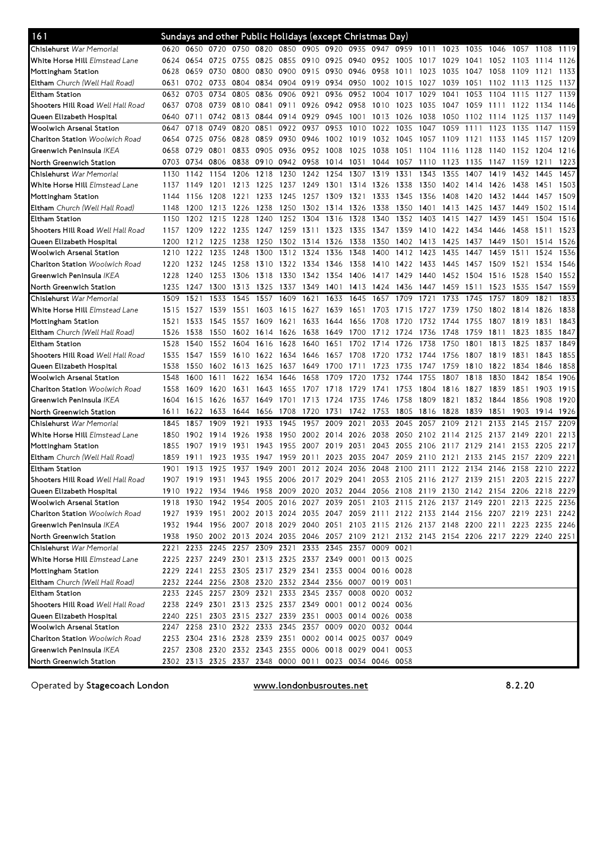| 161                                      |      | Sundays and other Public Holidays (except Christmas Day) |           |           |      |           |                |           |                |                     |           |                |                                                                                           |      |           |                |      |      |
|------------------------------------------|------|----------------------------------------------------------|-----------|-----------|------|-----------|----------------|-----------|----------------|---------------------|-----------|----------------|-------------------------------------------------------------------------------------------|------|-----------|----------------|------|------|
| Chislehurst War Memorial                 | 0620 |                                                          |           |           |      |           |                |           |                |                     |           |                | 0650 0720 0750 0820 0850 0905 0920 0935 0947 0959 1011 1023 1035                          |      | 1046      | 1057 1108 1119 |      |      |
| White Horse Hill Elmstead Lane           | 0624 | 0654                                                     | 0725 0755 |           | 0825 | 0855 0910 |                |           | 0925 0940 0952 |                     | 1005      | 1017           | 1029                                                                                      | 1041 | 1052      | 1103           | 1114 | 1126 |
| Mottingham Station                       | 0628 | 0659                                                     | 0730      | 0800      | 0830 | 0900      | 0915           | 0930      | 0946           | 0958                | 1011      | 1023           | 1035                                                                                      | 1047 | 1058      | 1109           | 1121 | 1133 |
| <b>Eltham</b> Church (Well Hall Road)    | 0631 | 0702                                                     | 0733      | 0804      | 0834 | 0904      | 0919           | 0934      | 0950           | 1002                | 1015      | 1027           | 1039                                                                                      | 1051 | 1102      | 1113           | 1125 | 1137 |
| Eltham Station                           | 0632 | 0703                                                     | 0734      | 0805      | 0836 | 0906      | 0921           | 0936      | 0952           | 1004                | 1017      | 1029           | 1041                                                                                      | 1053 | 1104      | 1115           | 1127 | 1139 |
| Shooters Hill Road Well Hall Road        | 0637 | 0708                                                     | 0739      | 0810      | 0841 | 0911      | 0926           | 0942 0958 |                | 1010                | 1023      | 1035           | 1047                                                                                      | 1059 | 1111      | 1122           | 1134 | 1146 |
| Queen Elizabeth Hospital                 | 0640 | 0711                                                     |           | 0742 0813 | 0844 | 0914      | 0929           | 0945      | 1001           | 1013                | 1026      | 1038           | 1050                                                                                      | 1102 | 1114      | 1125           | 1137 | 1149 |
| Woolwich Arsenal Station                 | 0647 | 0718                                                     | 0749      | 0820      | 0851 | 0922      | 0937           | 0953      | 1010           | 1022                | 1035      | 1047           | 1059                                                                                      | 1111 | 1123      | 1135           | 1147 | 1159 |
| <b>Charlton Station</b> Woolwich Road    | 0654 | 0725                                                     | 0756 0828 |           | 0859 | 0930      | 0946           | 1002 1019 |                | 1032                | 1045      | 1057           | 1109                                                                                      | 1121 | 1133      | 1145           | 1157 | 1209 |
| Greenwich Peninsula IKEA                 | 0658 | 0729                                                     | 0801      | 0833      | 0905 | 0936      | 0952           | 1008      | 1025           | 1038                | 1051      | 1104           | 1116                                                                                      | 1128 | 1140      | 1152           | 1204 | 1216 |
| North Greenwich Station                  | 0703 | 0734                                                     | 0806      | 0838      | 0910 | 0942      | 0958           | 1014      | 1031           | 1044                | 1057      | 1110           | 1123                                                                                      | 1135 | 1147      | 1159           | 1211 | 1223 |
| Chislehurst War Memorial                 | 1130 | 1142                                                     | 1154      | 1206      | 1218 | 1230      | 1242           | 1254      | 1307           | 1319                | 1331      | 1343           | 1355                                                                                      | 1407 | 1419      | 1432           | 1445 | 1457 |
| White Horse Hill Elmstead Lane           | 1137 | 1149                                                     | 1201      | 1213      | 1225 | 1237      | 1249           | 1301      | 1314           | 1326                | 1338      | 1350           | 1402                                                                                      | 1414 | 1426      | 1438           | 1451 | 1503 |
| Mottingham Station                       | 1144 | 1156                                                     | 1208      | 1221      | 1233 | 1245      | 1257           | 1309      | 1321           | 1333                | 1345      | 1356           | 1408                                                                                      | 1420 | 1432      | 1444           | 1457 | 1509 |
| Eltham Church (Well Hall Road)           | 1148 | 1200                                                     | 1213      | 1226      | 1238 | 1250      | 1302           | 1314      | 1326           | 1338                | 1350      | 1401           | 1413                                                                                      | 1425 | 1437      | 1449           | 1502 | 1514 |
| <b>Eltham Station</b>                    | 1150 | 1202                                                     | 1215      | 1228      | 1240 | 1252      | 1304           | 1316      | 1328           | 1340                | 1352      | 1403           | 1415                                                                                      | 1427 | 1439      | 1451           | 1504 | 1516 |
| Shooters Hill Road Well Hall Road        | 1157 | 1209                                                     | 1222      | 1235      | 1247 | 1259      | 1311           | 1323      | 1335           | 1347                | 1359      | 1410           | 1422                                                                                      | 1434 | 1446      | 1458           | 1511 | 1523 |
| Queen Elizabeth Hospital                 | 1200 | 1212                                                     | 1225      | 1238      | 1250 | 1302      | 1314           | 1326      | 1338           | 1350                | 1402      | 1413           | 1425                                                                                      | 1437 | 1449      | 1501           | 1514 | 1526 |
| Woolwich Arsenal Station                 | 1210 | 1222                                                     | 1235      | 1248      | 1300 | 1312      | 1324           | 1336      | 1348           | 1400                | 1412      | 1423           | 1435                                                                                      | 1447 | 1459      | 1511           | 1524 | 1536 |
| <b>Charlton Station</b> Woolwich Road    | 1220 | 1232                                                     | 1245 1258 |           | 1310 | 1322      | 1334           | 1346      | 1358           | 1410                | 1422 1433 |                | 1445                                                                                      | 1457 | 1509      | 1521           | 1534 | 1546 |
| Greenwich Peninsula IKEA                 | 1228 | 1240                                                     | 1253      | 1306      | 1318 | 1330      | 1342           | 1354      | 1406           | 1417                | 1429      | 1440           | 1452                                                                                      | 1504 | 1516      | 1528           | 1540 | 1552 |
| North Greenwich Station                  | 1235 | 1247                                                     | 1300      | 1313      | 1325 | 1337      | 1349           | 1401      | 1413           | 1424                | 1436      | 1447           | 1459                                                                                      | 1511 | 1523      | 1535           | 1547 | 1559 |
| Chislehurst War Memorial                 | 1509 | 1521                                                     | 1533      | 1545      | 1557 | 1609      | 1621           | 1633      | 1645           | 1657                | 1709      | 1721           | 1733                                                                                      | 1745 | 1757      | 1809           | 1821 | 1833 |
| White Horse Hill Elmstead Lane           | 1515 | 1527                                                     | 1539      | 1551      | 1603 | 1615      | 1627           | 1639      | 1651           | 1703                | 1715      | 1727           | 1739                                                                                      | 1750 | 1802      | 1814           | 1826 | 1838 |
| Mottingham Station                       | 1521 | 1533                                                     | 1545      | 1557      | 1609 | 1621      | 1633           | 1644      | 1656           | 1708                | 1720      | 1732           | 1744                                                                                      | 1755 | 1807      | 1819           | 1831 | 1843 |
| <b>Eltham</b> Church (Well Hall Road)    | 1526 | 1538                                                     | 1550      | 1602      | 1614 | 1626      | 1638           | 1649      | 1700           | 1712                | 1724      | 1736           | 1748                                                                                      | 1759 | 1811      | 1823           | 1835 | 1847 |
| <b>Eltham Station</b>                    | 1528 | 1540                                                     | 1552      | 1604      | 1616 | 1628      | 1640           | 1651      | 1702           | 1714                | 1726      | 1738           | 1750                                                                                      | 1801 | 1813      | 1825           | 1837 | 1849 |
| Shooters Hill Road <i>Well Hall Road</i> | 1535 | 1547                                                     | 1559 1610 |           |      | 1622 1634 | 1646           | 1657      | 1708           | 1720                | 1732      | 1744           | 1756                                                                                      | 1807 | 1819      | 1831           | 1843 | 1855 |
| Queen Elizabeth Hospital                 | 1538 | 1550                                                     | 1602      | 1613      | 1625 | 1637      | 1649           | 1700      | 1711           | 1723                | 1735      | 1747           | 1759                                                                                      | 1810 | 1822      | 1834           | 1846 | 1858 |
| Woolwich Arsenal Station                 | 1548 | 1600                                                     | 1611      | 1622      | 1634 | 1646      | 1658           | 1709      | 1720           | 1732                | 1744      | 1755           | 1807                                                                                      | 1818 | 1830      | 1842           | 1854 | 1906 |
| <b>Charlton Station</b> Woolwich Road    | 1558 | 1609                                                     | 1620      | 1631      | 1643 | 1655      | 1707           | 1718      | 1729           | 1741                | 1753      | 1804           | 1816                                                                                      | 1827 | 1839      | 1851           | 1903 | 1915 |
| Greenwich Peninsula IKEA                 | 1604 | 1615                                                     | 1626      | 1637      | 1649 | 1701      | 1713           | 1724      | 1735           | 1746                | 1758      | 1809           | 1821                                                                                      | 1832 | 1844      | 1856           | 1908 | 1920 |
| North Greenwich Station                  | 1611 | 1622                                                     | 1633      | 1644      | 1656 | 1708      | 1720           | 1731      | 1742           | 1753                | 1805      | 1816           | 1828                                                                                      | 1839 | 1851      | 1903           | 1914 | 1926 |
| Chislehurst War Memorial                 | 1845 | 1857                                                     | 1909      | 1921      | 1933 | 1945      | 1957           | 2009      | 2021           | 2033                | 2045      | 2057           | 2109                                                                                      | 2121 | 2133      | 2145           | 2157 | 2209 |
| White Horse Hill Elmstead Lane           | 1850 | 1902                                                     | 1914      | 1926      | 1938 | 1950      | 2002           | 2014 2026 |                | 2038                |           | 2050 2102 2114 |                                                                                           | 2125 | 2137 2149 |                | 2201 | 2213 |
| Mottingham Station                       | 1855 | 1907                                                     | 1919      | 1931      | 1943 | 1955      | 2007           | 2019      | 2031           | 2043                | 2055      | 2106           | 2117                                                                                      | 2129 | 2141      | 2153           | 2205 | 2217 |
| Eltham Church (Well Hall Road)           | 1859 | 1911                                                     | 1923      | 1935      | 1947 | 1959      | 2011           | 2023      | 2035           | 2047                | 2059      | 2110           | 2121                                                                                      | 2133 | 2145      | 2157           | 2209 | 2221 |
| Eltham Station                           | 1901 | 1913                                                     | 1925      | 1937      | 1949 | 2001      | 2012           | 2024      | 2036           | 2048                | 2100      | 2111           | 2122                                                                                      | 2134 | 2146      | 2158           | 2210 | 2222 |
| Shooters Hill Road Well Hall Road        | 1907 | 1919                                                     | 1931 1943 |           |      |           | 1955 2006 2017 | 2029 2041 |                | 2053                |           |                | 2105 2116 2127 2139                                                                       |      | 2151      | 2203 2215      |      | 2227 |
| Queen Elizabeth Hospital                 |      |                                                          |           |           |      |           |                |           |                |                     |           |                | 1910 1922 1934 1946 1958 2009 2020 2032 2044 2056 2108 2119 2130 2142 2154 2206 2218 2229 |      |           |                |      |      |
| <b>Woolwich Arsenal Station</b>          |      |                                                          |           |           |      |           |                |           |                |                     |           |                | 1918 1930 1942 1954 2005 2016 2027 2039 2051 2103 2115 2126 2137 2149 2201 2213 2225 2236 |      |           |                |      |      |
| Charlton Station Woolwich Road           |      |                                                          |           |           |      |           |                |           |                |                     |           |                | 1927 1939 1951 2002 2013 2024 2035 2047 2059 2111 2122 2133 2144 2156 2207 2219 2231 2242 |      |           |                |      |      |
| Greenwich Peninsula <i>IKEA</i>          |      |                                                          |           |           |      |           |                |           |                |                     |           |                | 1932 1944 1956 2007 2018 2029 2040 2051 2103 2115 2126 2137 2148 2200 2211 2223 2235 2246 |      |           |                |      |      |
| North Greenwich Station                  |      |                                                          |           |           |      |           |                |           |                |                     |           |                | 1938 1950 2002 2013 2024 2035 2046 2057 2109 2121 2132 2143 2154 2206 2217 2229 2240 2251 |      |           |                |      |      |
| Chislehurst War Memorial                 |      | 2221 2233 2245 2257 2309 2321 2333 2345 2357 0009 0021   |           |           |      |           |                |           |                |                     |           |                |                                                                                           |      |           |                |      |      |
| White Horse Hill Elmstead Lane           |      | 2225 2237 2249 2301 2313 2325 2337 2349 0001 0013 0025   |           |           |      |           |                |           |                |                     |           |                |                                                                                           |      |           |                |      |      |
| Mottingham Station                       |      | 2229 2241 2253 2305 2317 2329 2341                       |           |           |      |           |                |           |                | 2353 0004 0016 0028 |           |                |                                                                                           |      |           |                |      |      |
| <b>Eltham</b> Church (Well Hall Road)    |      | 2232 2244 2256 2308 2320 2332 2344 2356 0007 0019 0031   |           |           |      |           |                |           |                |                     |           |                |                                                                                           |      |           |                |      |      |
| Eltham Station                           |      | 2233 2245 2257 2309 2321 2333 2345 2357 0008 0020 0032   |           |           |      |           |                |           |                |                     |           |                |                                                                                           |      |           |                |      |      |
| Shooters Hill Road Well Hall Road        |      | 2238 2249 2301 2313 2325 2337 2349 0001 0012 0024 0036   |           |           |      |           |                |           |                |                     |           |                |                                                                                           |      |           |                |      |      |
| Queen Elizabeth Hospital                 |      | 2240 2251 2303 2315 2327 2339 2351 0003 0014 0026 0038   |           |           |      |           |                |           |                |                     |           |                |                                                                                           |      |           |                |      |      |
| Woolwich Arsenal Station                 |      | 2247 2258 2310 2322 2333 2345 2357 0009 0020 0032 0044   |           |           |      |           |                |           |                |                     |           |                |                                                                                           |      |           |                |      |      |
| <b>Charlton Station</b> Woolwich Road    |      | 2253 2304 2316 2328 2339 2351 0002 0014 0025 0037 0049   |           |           |      |           |                |           |                |                     |           |                |                                                                                           |      |           |                |      |      |
| Greenwich Peninsula <i>IKEA</i>          |      | 2257 2308 2320 2332 2343 2355 0006 0018 0029 0041 0053   |           |           |      |           |                |           |                |                     |           |                |                                                                                           |      |           |                |      |      |
| North Greenwich Station                  |      | 2302 2313 2325 2337 2348 0000 0011 0023 0034 0046 0058   |           |           |      |           |                |           |                |                     |           |                |                                                                                           |      |           |                |      |      |

Operated by Stagecoach London

www.londonbusroutes.net 8.2.20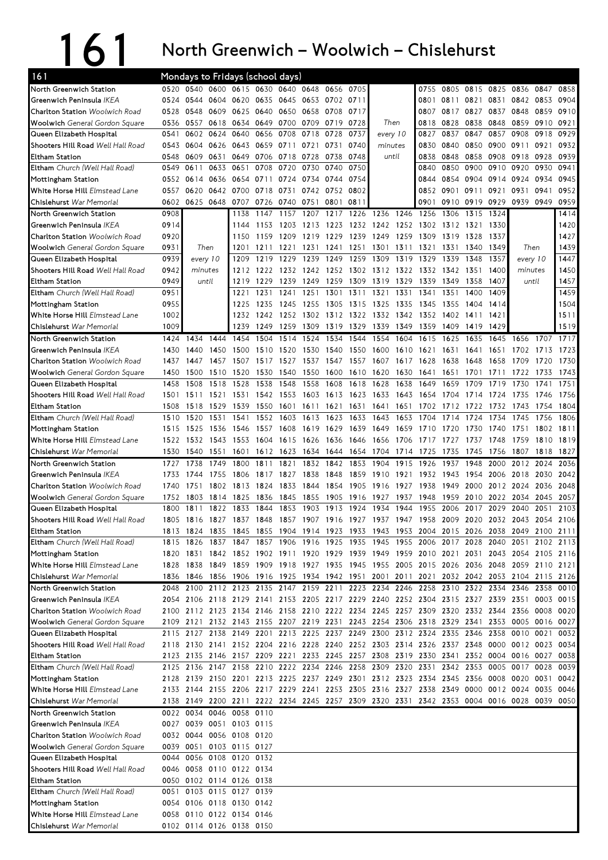## 161 North

## Greenwich – Woolwich – Chislehurst

| 161                                      |      | Mondays to Fridays (school days)                                                          |      |                               |      |                          |      |           |      |                     |      |      |                     |      |      |                          |           |              |
|------------------------------------------|------|-------------------------------------------------------------------------------------------|------|-------------------------------|------|--------------------------|------|-----------|------|---------------------|------|------|---------------------|------|------|--------------------------|-----------|--------------|
| North Greenwich Station                  | 0520 |                                                                                           |      | 0540 0600 0615 0630 0640 0648 |      |                          |      | 0656 0705 |      |                     |      | 0755 |                     |      |      | 0805 0815 0825 0836 0847 |           | 0858         |
| Greenwich Peninsula IKEA                 | 0524 | 0544                                                                                      | 0604 | 0620                          |      | 0635 0645                | 0653 | 0702 0711 |      |                     |      | 0801 | 0811                | 0821 | 0831 | 0842                     | 0853      | 0904         |
| <b>Charlton Station</b> Woolwich Road    | 0528 | 0548                                                                                      | 0609 | 0625                          | 0640 | 0650                     | 0658 | 0708 0717 |      |                     |      | 0807 | 0817                | 0827 | 0837 | 0848                     | 0859      | 0910         |
| <b>Woolwich</b> General Gordon Square    | 0536 | 0557                                                                                      | 0618 | 0634                          |      | 0649 0700                | 0709 | 0719 0728 |      | Then                |      | 0818 | 0828                | 0838 | 0848 | 0859                     | 0910      | 0921         |
| Queen Elizabeth Hospital                 | 0541 | 0602                                                                                      | 0624 | 0640                          | 0656 | 0708                     | 0718 | 0728      | 0737 | every 10            |      | 0827 | 0837                | 0847 | 0857 | 0908                     | 0918      | 0929         |
| Shooters Hill Road <i>Well Hall Road</i> | 0543 | 0604                                                                                      | 0626 | 0643                          | 0659 | 0711                     | 0721 | 0731      | 0740 | minutes             |      | 0830 | 0840                | 0850 | 0900 | 0911                     | 0921      | 0932         |
| Eltham Station                           | 0548 | 0609                                                                                      | 0631 | 0649                          | 0706 | 0718                     | 0728 | 0738      | 0748 | until               |      | 0838 | 0848                | 0858 | 0908 | 0918                     | 0928      | 0939         |
| Eltham Church (Well Hall Road)           | 0549 | 0611                                                                                      | 0633 | 0651                          | 0708 | 0720                     | 0730 | 0740      | 0750 |                     |      | 0840 | 0850                | 0900 | 0910 | 0920                     | 0930      | 0941         |
| Mottingham Station                       |      | 0552 0614                                                                                 | 0636 | 0654                          | 0711 | 0724                     | 0734 | 0744 0754 |      |                     |      | 0844 | 0854                | 0904 | 0914 | 0924                     | 0934      | 0945         |
| <b>White Horse Hill</b> Elmstead Lane    | 0557 | 0620                                                                                      | 0642 | 0700                          | 0718 | 0731                     | 0742 | 0752 0802 |      |                     |      | 0852 | 0901                | 0911 | 0921 | 0931                     | 0941      | 0952         |
| Chislehurst War Memorial                 | 0602 | 0625 0648                                                                                 |      | 0707                          |      | 0726 0740                | 0751 | 0801      | 0811 |                     |      | 0901 | 0910                | 0919 | 0929 | 0939                     | 0949      | 0959         |
| North Greenwich Station                  | 0908 |                                                                                           |      | 1138                          | 1147 | 1157                     | 1207 | 1217 1226 |      | 1236                | 1246 | 1256 | 1306                | 1315 | 1324 |                          |           | 1414         |
| Greenwich Peninsula IKEA                 | 0914 |                                                                                           |      | 1144                          | 1153 | 1203                     | 1213 | 1223      | 1232 | 1242 1252           |      | 1302 | 1312                | 1321 | 1330 |                          |           | 1420         |
| Charlton Station <i>Woolwich Road</i>    | 0920 |                                                                                           |      | 1150                          | 1159 | 1209                     | 1219 | 1229      | 1239 | 1249                | 1259 | 1309 | 1319                | 1328 | 1337 |                          |           | 1427         |
| <b>Woolwich</b> General Gordon Square    | 0931 | Then                                                                                      |      | 1201                          | 1211 | 1221                     | 1231 | 1241      | 1251 | 1301                | 1311 | 1321 | 1331                | 1340 | 1349 | Then                     |           | 1439         |
| Queen Elizabeth Hospital                 | 0939 | every 10                                                                                  |      | 1209                          | 1219 | 1229                     | 1239 | 1249      | 1259 | 1309                | 1319 | 1329 | 1339                | 1348 | 1357 | every 10                 |           | 1447         |
| Shooters Hill Road <i>Well Hall Road</i> | 0942 | minutes                                                                                   |      | 1212                          | 1222 | 1232                     | 1242 | 1252 1302 |      | 1312 1322           |      | 1332 | 1342                | 1351 | 1400 | minutes                  |           | 1450         |
| Eltham Station                           | 0949 | until                                                                                     |      | 1219                          | 1229 | 1239                     | 1249 | 1259      | 1309 | 1319                | 1329 | 1339 | 1349                | 1358 | 1407 | until                    |           | 1457         |
| <b>Eltham</b> Church (Well Hall Road)    | 0951 |                                                                                           |      | 1221                          | 1231 | 1241                     | 1251 | 1301      | 1311 | 1321                | 1331 | 1341 | 1351                | 1400 | 1409 |                          |           | 1459         |
|                                          |      |                                                                                           |      |                               |      |                          |      |           |      |                     |      |      |                     |      |      |                          |           |              |
| Mottingham Station                       | 0955 |                                                                                           |      | 1225                          | 1235 | 1245                     | 1255 | 1305      | 1315 | 1325                | 1335 | 1345 | 1355                | 1404 | 1414 |                          |           | 1504         |
| White Horse Hill Elmstead Lane           | 1002 |                                                                                           |      | 1232                          | 1242 | 1252                     | 1302 | 1312 1322 |      | 1332 1342           |      | 1352 | 1402                | 1411 | 1421 |                          |           | 1511         |
| Chislehurst War Memorial                 | 1009 |                                                                                           |      | 1239                          | 1249 | 1259                     | 1309 | 1319      | 1329 | 1339                | 1349 | 1359 | 1409                | 1419 | 1429 |                          |           | 1519         |
| North Greenwich Station                  | 1424 | 1434                                                                                      | 1444 | 1454                          | 1504 | 1514                     | 1524 | 1534      | 1544 | 1554                | 1604 | 1615 | 1625                | 1635 | 1645 | 1656                     | 1707      | 1717         |
| Greenwich Peninsula IKEA                 | 1430 | 1440                                                                                      | 1450 | 1500                          | 1510 | 1520                     | 1530 | 1540      | 1550 | 1600                | 1610 | 1621 | 1631                | 1641 | 1651 | 1702                     | 1713      | 1723         |
| <b>Charlton Station</b> Woolwich Road    | 1437 | 1447                                                                                      | 1457 | 1507                          | 1517 | 1527                     | 1537 | 1547      | 1557 | 1607                | 1617 | 1628 | 1638                | 1648 | 1658 | 1709                     | 1720      | 1730         |
| <b>Woolwich</b> General Gordon Square    | 1450 | 1500                                                                                      | 1510 | 1520                          | 1530 | 1540                     | 1550 | 1600      | 1610 | 1620                | 1630 | 1641 | 1651                | 1701 | 1711 | 1722                     | 1733      | 1743         |
| Queen Elizabeth Hospital                 | 1458 | 1508                                                                                      | 1518 | 1528                          | 1538 | 1548                     | 1558 | 1608      | 1618 | 1628                | 1638 | 1649 | 1659                | 1709 | 1719 | 1730                     | 1741      | 1751         |
| Shooters Hill Road <i>Well Hall Road</i> | 1501 | 1511                                                                                      | 1521 | 1531                          | 1542 | 1553                     | 1603 | 1613 1623 |      | 1633                | 1643 | 1654 | 1704                | 1714 | 1724 | 1735                     | 1746      | 1756         |
| Eltham Station                           | 1508 | 1518                                                                                      | 1529 | 1539                          | 1550 | 1601                     | 1611 | 1621      | 1631 | 1641                | 1651 | 1702 | 1712                | 1722 | 1732 | 1743                     | 1754      | 1804         |
| <b>Eltham</b> Church (Well Hall Road)    | 1510 | 1520                                                                                      | 1531 | 1541                          | 1552 | 1603                     | 1613 | 1623      | 1633 | 1643                | 1653 | 1704 | 1714                | 1724 | 1734 | 1745                     | 1756      | 1806         |
| Mottingham Station                       | 1515 | 1525                                                                                      | 1536 | 1546                          | 1557 | 1608                     | 1619 | 1629      | 1639 | 1649                | 1659 | 1710 | 17<br>20            | 1730 | 1740 | 1751                     | 1802      | 1811         |
| <b>White Horse Hill</b> Elmstead Lane    |      | 1522 1532                                                                                 | 1543 | 1553                          | 1604 | 1615                     | 1626 | 1636      | 1646 | 1656                | 1706 | 1717 | 1727                | 1737 | 1748 | 1759                     | 1810      | 1819         |
|                                          |      |                                                                                           |      |                               |      |                          |      |           |      |                     |      |      |                     |      | 1756 | 1807                     | 1818      | 1827         |
| Chislehurst War Memorial                 | 1530 | 1540                                                                                      | 1551 | 1601                          | 1612 | 1623                     | 1634 | 1644      | 1654 | 1704                | 1714 | 1725 | 1735                | 1745 |      |                          |           |              |
| North Greenwich Station                  | 1727 | 1738                                                                                      | 1749 | 1800                          | 1811 | 1821                     | 1832 | 1842      | 1853 | 1904                | 1915 | 1926 | 1937                | 1948 | 2000 | 2012                     | 2024      | 2036         |
| Greenwich Peninsula IKEA                 | 1733 | 1744                                                                                      | 1755 | 1806                          | 1817 | 1827                     | 1838 | 1848      | 1859 | 1910                | 1921 | 1932 | 1943                | 1954 | 2006 | 2018                     | 2030      | 2042         |
| <b>Charlton Station</b> Woolwich Road    | 1740 | 1751                                                                                      | 1802 | 1813                          | 1824 | 1833                     | 1844 | 1854      | 1905 | 1916                | 1927 | 1938 | 1949                | 2000 | 2012 | 2024                     | 2036      | 2048         |
| <b>Woolwich</b> General Gordon Square    | 1752 | 1803                                                                                      | 1814 | 1825                          | 1836 | 1845                     | 1855 | 1905      | 1916 | 1927                | 1937 | 1948 | 1959                | 2010 | 2022 | 2034                     | 2045      | 2057         |
| Queen Elizabeth Hospital                 | 1800 | 1811                                                                                      | 1822 | 1833                          | 1844 | 1853                     | 1903 | 1913      | 1924 | 1934                | 1944 | 1955 | 2006                | 2017 | 2029 | 2040                     | 2051      | 2103         |
| Shooters Hill Road Well Hall Road        | 1805 | 1816                                                                                      | 1827 | 1837                          | 1848 | 1857                     | 1907 | 1916 1927 |      | 1937 1947           |      | 1958 | 2009 2020 2032 2043 |      |      |                          | 2054 2106 |              |
| Eltham Station                           |      | 1813 1824 1835 1845 1855 1904 1914 1923 1933 1943 1953 2004 2015 2026 2038 2049 2100 2111 |      |                               |      |                          |      |           |      |                     |      |      |                     |      |      |                          |           |              |
| Eltham Church (Well Hall Road)           | 1815 | 1826                                                                                      | 1837 | 1847                          |      | 1857 1906 1916 1925 1935 |      |           |      | 1945 1955 2006 2017 |      |      |                     | 2028 | 2040 | 2051                     |           | 2102 2113    |
| Mottingham Station                       |      | 1820 1831 1842 1852 1902 1911 1920 1929 1939 1949 1959 2010 2021 2031 2043 2054 2105 2116 |      |                               |      |                          |      |           |      |                     |      |      |                     |      |      |                          |           |              |
| <b>White Horse Hill</b> Elmstead Lane    |      | 1828 1838 1849 1859 1909 1918 1927 1935 1945 1955 2005 2015 2026 2036 2048 2059 2110 2121 |      |                               |      |                          |      |           |      |                     |      |      |                     |      |      |                          |           |              |
| Chislehurst War Memorial                 |      | 1836 1846 1856 1906 1916 1925 1934 1942 1951 2001 2011 2021 2032 2042 2053 2104 2115 2126 |      |                               |      |                          |      |           |      |                     |      |      |                     |      |      |                          |           |              |
|                                          |      |                                                                                           |      |                               |      |                          |      |           |      |                     |      |      |                     |      |      |                          |           |              |
| North Greenwich Station                  |      | 2048 2100 2112 2123 2135 2147 2159 2211 2223 2234 2246 2258 2310 2322 2334 2346 2358      |      |                               |      |                          |      |           |      |                     |      |      |                     |      |      |                          |           |              |
| Greenwich Peninsula IKEA                 |      | 2054 2106 2118 2129 2141 2153 2205 2217 2229 2240 2252 2304 2315 2327 2339 2351 0003 0015 |      |                               |      |                          |      |           |      |                     |      |      |                     |      |      |                          |           |              |
| <b>Charlton Station</b> Woolwich Road    |      | 2100 2112 2123 2134 2146 2158 2210 2222 2234 2245 2257 2309 2320 2332 2344 2356 0008 0020 |      |                               |      |                          |      |           |      |                     |      |      |                     |      |      |                          |           |              |
| Woolwich General Gordon Square           |      | 2109 2121 2132 2143 2155 2207 2219 2231 2243 2254 2306 2318 2329 2341 2353 0005 0016 0027 |      |                               |      |                          |      |           |      |                     |      |      |                     |      |      |                          |           | 0010         |
| Queen Elizabeth Hospital                 |      | 2115 2127 2138 2149 2201 2213 2225 2237 2249 2300 2312 2324 2335 2346 2358 0010 0021      |      |                               |      |                          |      |           |      |                     |      |      |                     |      |      |                          |           |              |
| Shooters Hill Road Well Hall Road        |      | 2118 2130 2141 2152 2204 2216 2228 2240 2252 2303 2314 2326 2337 2348 0000 0012 0023 0034 |      |                               |      |                          |      |           |      |                     |      |      |                     |      |      |                          |           |              |
| Eltham Station                           |      | 2123 2135 2146 2157 2209 2221 2233 2245 2257 2308 2319 2330 2341 2352 0004 0016 0027 0038 |      |                               |      |                          |      |           |      |                     |      |      |                     |      |      |                          |           |              |
| <b>Eltham</b> Church (Well Hall Road)    |      | 2125 2136 2147 2158 2210 2222 2234 2246 2258 2309 2320 2331 2342 2353 0005 0017 0028      |      |                               |      |                          |      |           |      |                     |      |      |                     |      |      |                          |           | 0032<br>0039 |
| Mottingham Station                       |      | 2128 2139 2150 2201 2213 2225 2237 2249 2301 2312 2323 2334 2345 2356 0008 0020 0031      |      |                               |      |                          |      |           |      |                     |      |      |                     |      |      |                          |           | 0042         |
| <b>White Horse Hill</b> Elmstead Lane    |      | 2133 2144 2155 2206 2217 2229 2241 2253 2305 2316 2327 2338 2349 0000 0012 0024 0035      |      |                               |      |                          |      |           |      |                     |      |      |                     |      |      |                          |           | 0046         |
| Chislehurst War Memorial                 |      | 2138 2149 2200 2211 2222 2234 2245 2257 2309 2320 2331 2342 2353 0004 0016 0028 0039 0050 |      |                               |      |                          |      |           |      |                     |      |      |                     |      |      |                          |           |              |
| North Greenwich Station                  |      | 0022 0034 0046 0058 0110                                                                  |      |                               |      |                          |      |           |      |                     |      |      |                     |      |      |                          |           |              |
| Greenwich Peninsula <i>IKEA</i>          |      | 0027 0039 0051 0103 0115                                                                  |      |                               |      |                          |      |           |      |                     |      |      |                     |      |      |                          |           |              |
| Charlton Station <i>Woolwich Road</i>    |      | 0032 0044 0056 0108 0120                                                                  |      |                               |      |                          |      |           |      |                     |      |      |                     |      |      |                          |           |              |
| <b>Woolwich</b> General Gordon Square    |      | 0039 0051 0103 0115 0127                                                                  |      |                               |      |                          |      |           |      |                     |      |      |                     |      |      |                          |           |              |
| Queen Elizabeth Hospital                 | 0044 |                                                                                           |      | 0056 0108 0120 0132           |      |                          |      |           |      |                     |      |      |                     |      |      |                          |           |              |
| Shooters Hill Road <i>Well Hall Road</i> |      | 0046 0058 0110 0122 0134                                                                  |      |                               |      |                          |      |           |      |                     |      |      |                     |      |      |                          |           |              |
| Eltham Station                           |      | 0050 0102 0114 0126 0138                                                                  |      |                               |      |                          |      |           |      |                     |      |      |                     |      |      |                          |           |              |
| <b>Eltham</b> Church (Well Hall Road)    |      | 0051 0103 0115 0127 0139                                                                  |      |                               |      |                          |      |           |      |                     |      |      |                     |      |      |                          |           |              |
| Mottingham Station                       |      | 0054 0106 0118 0130 0142                                                                  |      |                               |      |                          |      |           |      |                     |      |      |                     |      |      |                          |           |              |
| White Horse Hill Elmstead Lane           |      | 0058 0110 0122 0134 0146                                                                  |      |                               |      |                          |      |           |      |                     |      |      |                     |      |      |                          |           |              |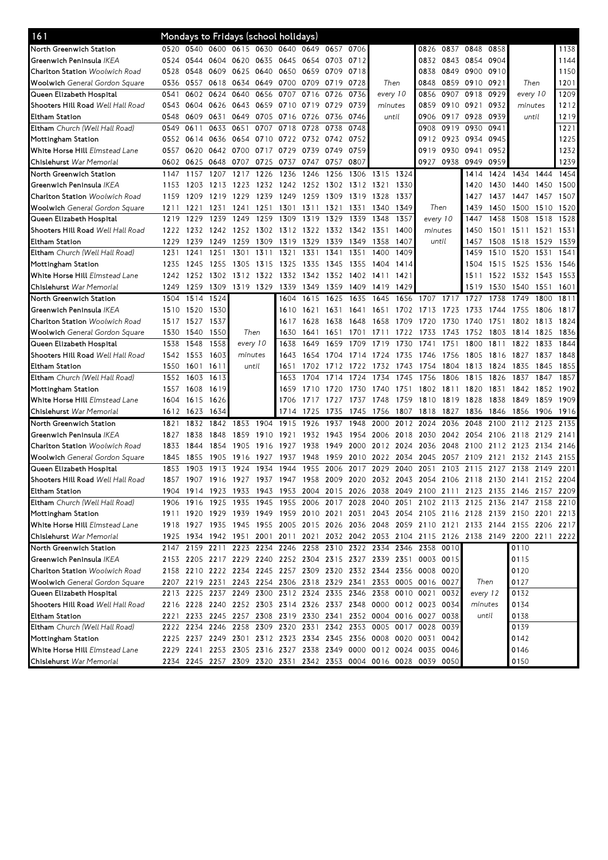| 161                                      |      |      |                                                                  |                |      | Mondays to Fridays (school holidays) |           |           |           |      |           |         |          |                |          |                                                                                           |      |      |
|------------------------------------------|------|------|------------------------------------------------------------------|----------------|------|--------------------------------------|-----------|-----------|-----------|------|-----------|---------|----------|----------------|----------|-------------------------------------------------------------------------------------------|------|------|
| North Greenwich Station                  | 0520 | 0540 |                                                                  | 0600 0615 0630 |      |                                      | 0640 0649 | 0657 0706 |           |      |           | 0826    |          | 0837 0848      | 0858     |                                                                                           |      | 1138 |
| Greenwich Peninsula IKEA                 | 0524 | 0544 | 0604 0620                                                        |                | 0635 | 0645 0654                            |           | 0703 0712 |           |      |           |         |          | 0832 0843 0854 | 0904     |                                                                                           |      | 1144 |
| <b>Charlton Station</b> Woolwich Road    | 0528 | 0548 | 0609                                                             | 0625           | 0640 | 0650                                 | 0659      | 0709      | 0718      |      |           | 0838    | 0849     | 0900           | 0910     |                                                                                           |      | 1150 |
| <b>Woolwich</b> General Gordon Square    | 0536 | 0557 | 0618                                                             | 0634           | 0649 | 0700 0709                            |           | 0719      | 0728      |      | Then      | 0848    | 0859     | 0910           | 0921     | Then                                                                                      |      | 1201 |
| Queen Elizabeth Hospital                 | 0541 | 0602 | 0624                                                             | 0640           | 0656 | 0707                                 | 0716      | 0726      | 0736      |      | every 10  | 0856    | 0907     | 0918           | 0929     | every 10                                                                                  |      | 1209 |
| Shooters Hill Road <i>Well Hall Road</i> | 0543 | 0604 | 0626 0643                                                        |                |      | 0659 0710 0719                       |           | 0729      | 0739      |      | minutes   | 0859    |          | 0910 0921      | 0932     | minutes                                                                                   |      | 1212 |
| Eltham Station                           | 0548 | 0609 | 0631                                                             | 0649           |      | 0705 0716 0726                       |           | 0736      | 0746      |      | until     | 0906    |          | 0917 0928      | 0939     | until                                                                                     |      | 1219 |
| <b>Eltham</b> Church (Well Hall Road)    | 0549 | 0611 | 0633                                                             | 0651           | 0707 | 0718                                 | 0728      | 0738      | 0748      |      |           | 0908    | 0919     | 0930           | 0941     |                                                                                           |      | 1221 |
| Mottingham Station                       | 0552 | 0614 | 0636 0654                                                        |                |      | 0710 0722 0732                       |           | 0742 0752 |           |      |           | 0912    | 0923     | 0934           | 0945     |                                                                                           |      | 1225 |
| White Horse Hill Elmstead Lane           | 0557 | 0620 | 0642 0700                                                        |                | 0717 | 0729                                 | 0739      | 0749      | 0759      |      |           | 0919    | 0930     | 0941           | 0952     |                                                                                           |      | 1232 |
| <b>Chislehurst</b> War Memorial          | 0602 | 0625 | 0648                                                             | 0707           | 0725 | 0737                                 | 0747      | 0757      | 0807      |      |           | 0927    | 0938     | 0949           | 0959     |                                                                                           |      | 1239 |
| North Greenwich Station                  | 1147 | 1157 | 1207                                                             | 1217           | 1226 | 1236                                 | 1246      | 1256      | 1306      | 1315 | 1324      |         |          | 1414           | 1424     | 1434                                                                                      | 1444 | 1454 |
| Greenwich Peninsula <i>IKEA</i>          | 1153 | 1203 | 1213                                                             | 1223           |      | 1232 1242                            | 1252      |           | 1302 1312 | 1321 | 1330      |         |          | 1420           | 1430     | 1440                                                                                      | 1450 | 1500 |
| <b>Charlton Station</b> Woolwich Road    | 1159 | 1209 | 1219 1229                                                        |                | 1239 | 1249                                 | 1259      | 1309      | 1319      | 1328 | 1337      |         |          | 1427           | 1437     | 1447                                                                                      | 1457 | 1507 |
| <b>Woolwich</b> General Gordon Square    | 1211 | 1221 | 1231                                                             | 1241           | 1251 | 1301                                 | 1311      | 1321      | 1331      | 1340 | 1349      | Then    |          | 1439           | 1450     | 1500                                                                                      | 1510 | 1520 |
| Queen Elizabeth Hospital                 | 1219 | 1229 | 1239                                                             | 1249           | 1259 | 1309                                 | 1319      | 1329      | 1339      | 1348 | 1357      |         | every 10 | 1447           | 1458     | 1508                                                                                      | 1518 | 1528 |
| Shooters Hill Road <i>Well Hall Road</i> | 1222 | 1232 | 1242 1252                                                        |                |      | 1302 1312 1322                       |           |           | 1332 1342 | 1351 | 1400      | minutes |          | 1450           | 1501     | 1511                                                                                      | 1521 | 1531 |
| Eltham Station                           | 1229 | 1239 | 1249                                                             | 1259           | 1309 | 1319                                 | 1329      | 1339      | 1349      | 1358 | 1407      |         | until    | 1457           | 1508     | 1518                                                                                      | 1529 | 1539 |
| <b>Eltham</b> Church (Well Hall Road)    | 1231 | 1241 | 1251                                                             | 1301           | 1311 | 1321                                 | 1331      | 1341      | 1351      | 1400 | 1409      |         |          | 1459           | 1510     | 1520                                                                                      | 1531 | 1541 |
| Mottingham Station                       | 1235 | 1245 | 1255                                                             | 1305           | 1315 | 1325                                 | 1335      | 1345      | 1355      | 1404 | 1414      |         |          | 1504           | 1515     | 1525                                                                                      | 1536 | 1546 |
| <b>White Horse Hill</b> Elmstead Lane    | 1242 | 1252 | 1302                                                             | 1312           | 1322 | 1332                                 | 1342      | 1352      | 1402      | 1411 | 1421      |         |          | 1511           | 1522     | 1532                                                                                      | 1543 | 1553 |
| <b>Chislehurst</b> War Memorial          | 1249 | 1259 | 1309                                                             | 1319 1329      |      | 1339                                 | 1349      | 1359      | 1409      | 1419 | 1429      |         |          | 1519           | 1530     | 1540                                                                                      | 1551 | 1601 |
| North Greenwich Station                  | 1504 | 1514 | 1524                                                             |                |      | 1604                                 | 1615      | 1625      | 1635      | 1645 | 1656      | 1707    | 1717     | 1727           | 1738     | 1749                                                                                      | 1800 | 1811 |
| Greenwich Peninsula <i> KEA</i>          | 1510 | 1520 | 1530                                                             |                |      | 1610                                 | 1621      | 1631      | 1641      | 1651 | 1702      | 1713    | 1723     | 1733           | 1744     | 1755                                                                                      | 1806 | 1817 |
| <b>Charlton Station</b> Woolwich Road    | 1517 | 1527 | 1537                                                             |                |      | 1617                                 | 1628      | 1638      | 1648      | 1658 | 1709      | 1720    | 1730     | 1740           | 1751     | 1802                                                                                      | 1813 | 1824 |
| <b>Woolwich</b> General Gordon Square    | 1530 | 1540 | 1550                                                             | Then           |      | 1630                                 | 1641      | 1651      | 1701      | 1711 | 1722      | 1733    | 1743     | 1752           | 1803     | 1814                                                                                      | 1825 | 1836 |
| Queen Elizabeth Hospital                 | 1538 | 1548 | 1558                                                             | every 10       |      | 1638                                 | 1649      | 1659      | 1709      | 1719 | 1730      | 1741    | 1751     | 1800           | 1811     | 1822 1833                                                                                 |      | 1844 |
| Shooters Hill Road <i>Well Hall Road</i> | 1542 | 1553 | 1603                                                             | minutes        |      | 1643                                 | 1654      | 1704      | 1714      | 1724 | 1735      | 1746    | 1756     | 1805           | 1816     | 1827                                                                                      | 1837 | 1848 |
| Eltham Station                           | 1550 | 1601 | 1611                                                             | until          |      | 1651                                 | 1702      | 1712      | 1722      | 1732 | 1743      | 1754    | 1804     | 1813           | 1824     | 1835                                                                                      | 1845 | 1855 |
| <b>Eltham</b> Church (Well Hall Road)    | 1552 | 1603 | 1613                                                             |                |      | 1653                                 | 1704      | 1714      | 1724      | 1734 | 1745      | 1756    | 1806     | 1815           | 1826     | 1837                                                                                      | 1847 | 1857 |
| Mottingham Station                       | 1557 | 1608 | 1619                                                             |                |      | 1659                                 | 1710      | 1720      | 1730      | 1740 | 1751      | 1802    | 1811     | 1820           | 1831     | 1842                                                                                      | 1852 | 1902 |
| White Horse Hill Elmstead Lane           | 1604 | 1615 | 1626                                                             |                |      | 1706                                 | 1717      | 1727      | 1737      | 1748 | 1759      | 1810    | 1819     | 1828           | 1838     | 1849                                                                                      | 1859 | 1909 |
| Chislehurst <i>War Memorial</i>          | 1612 | 1623 | 1634                                                             |                |      | 1714                                 | 1725      | 1735      | 1745      | 1756 | 1807      | 1818    | 1827     | 1836           | 1846     | 1856                                                                                      | 1906 | 1916 |
| North Greenwich Station                  | 1821 | 1832 | 1842                                                             | 1853           | 1904 | 1915                                 | 1926      | 1937      | 1948      | 2000 | 2012      | 2024    | 2036     | 2048           | 2100     | 2112                                                                                      | 2123 | 2135 |
| Greenwich Peninsula <i>IKEA</i>          | 1827 | 1838 | 1848                                                             | 1859           | 1910 | 1921                                 | 1932      | 1943      | 1954      | 2006 | 2018      | 2030    | 2042     | 2054           | 2106     | 2118                                                                                      | 2129 | 2141 |
| <b>Charlton Station</b> Woolwich Road    | 1833 | 1844 | 1854                                                             | 1905           | 1916 | 1927                                 | 1938      | 1949      | 2000      |      | 2012 2024 | 2036    | 2048     | 2100           |          | 2112 2123                                                                                 | 2134 | 2146 |
| <b>Woolwich</b> General Gordon Square    | 1845 | 1855 | 1905                                                             | 1916           | 1927 | 1937                                 | 1948      | 1959      | 2010      | 2022 | 2034      | 2045    | 2057     | 2109           | 2121     | 2132                                                                                      | 2143 | 2155 |
| Queen Elizabeth Hospital                 | 1853 | 1903 | 1913                                                             | 1924           | 1934 | 1944                                 | 1955      | 2006      | 2017      | 2029 | 2040      | 2051    | 2103     | 2115           | 2127     | 2138                                                                                      | 2149 | 2201 |
| Shooters Hill Road <i>Well Hall Road</i> | 1857 |      | 1907 1916 1927 1937 1947 1958                                    |                |      |                                      |           | 2009 2020 |           |      |           |         |          |                |          | 2032 2043 2054 2106 2118 2130 2141 2152 2204                                              |      |      |
| Eltham Station                           |      |      |                                                                  |                |      |                                      |           |           |           |      |           |         |          |                |          | 1904 1914 1923 1933 1943 1953 2004 2015 2026 2038 2049 2100 2111 2123 2135 2146 2157 2209 |      |      |
| <b>Eltham</b> Church (Well Hall Road)    |      |      |                                                                  |                |      |                                      |           |           |           |      |           |         |          |                |          | 1906 1916 1925 1935 1945 1955 2006 2017 2028 2040 2051 2102 2113 2125 2136 2147 2158 2210 |      |      |
| Mottingham Station                       |      |      |                                                                  |                |      |                                      |           |           |           |      |           |         |          |                |          | 1911 1920 1929 1939 1949 1959 2010 2021 2031 2043 2054 2105 2116 2128 2139 2150 2201      |      | 2213 |
| White Horse Hill Elmstead Lane           |      |      |                                                                  |                |      |                                      |           |           |           |      |           |         |          |                |          | 1918 1927 1935 1945 1955 2005 2015 2026 2036 2048 2059 2110 2121 2133 2144 2155 2206 2217 |      |      |
| Chislehurst War Memorial                 |      |      |                                                                  |                |      |                                      |           |           |           |      |           |         |          |                |          | 1925 1934 1942 1951 2001 2011 2021 2032 2042 2053 2104 2115 2126 2138 2149 2200 2211 2222 |      |      |
| North Greenwich Station                  |      |      | 2147 2159 2211 2223 2234 2246 2258 2310 2322 2334 2346 2358      |                |      |                                      |           |           |           |      |           |         | 0010     |                |          | 0110                                                                                      |      |      |
| Greenwich Peninsula <i>IKEA</i>          |      |      | 2153 2205 2217 2229 2240 2252 2304 2315 2327 2339 2351 0003 0015 |                |      |                                      |           |           |           |      |           |         |          |                |          | 0115                                                                                      |      |      |
| Charlton Station Woolwich Road           |      |      | 2158 2210 2222 2234 2245 2257 2309 2320 2332 2344 2356 0008 0020 |                |      |                                      |           |           |           |      |           |         |          |                |          | 0120                                                                                      |      |      |
| Woolwich General Gordon Square           |      |      | 2207 2219 2231 2243 2254 2306 2318 2329 2341 2353 0005 0016 0027 |                |      |                                      |           |           |           |      |           |         |          |                | Then     | 0127                                                                                      |      |      |
| Queen Elizabeth Hospital                 |      |      | 2213 2225 2237 2249 2300 2312 2324 2335 2346 2358 0010 0021      |                |      |                                      |           |           |           |      |           |         | 0032     |                | every 12 | 0132                                                                                      |      |      |
| Shooters Hill Road <i>Well Hall Road</i> |      |      | 2216 2228 2240 2252 2303 2314 2326 2337 2348 0000 0012 0023 0034 |                |      |                                      |           |           |           |      |           |         |          |                | minutes  | 0134                                                                                      |      |      |
| Eltham Station                           |      |      | 2221 2233 2245 2257 2308 2319 2330 2341 2352 0004 0016 0027 0038 |                |      |                                      |           |           |           |      |           |         |          |                | until    | 0138                                                                                      |      |      |
| Eltham Church (Well Hall Road)           |      |      | 2222 2234 2246 2258 2309 2320 2331 2342 2353 0005 0017 0028 0039 |                |      |                                      |           |           |           |      |           |         |          |                |          | 0139                                                                                      |      |      |
| Mottingham Station                       |      |      | 2225 2237 2249 2301 2312 2323 2334 2345 2356 0008 0020 0031 0042 |                |      |                                      |           |           |           |      |           |         |          |                |          | 0142                                                                                      |      |      |
| White Horse Hill Elmstead Lane           |      |      | 2229 2241 2253 2305 2316 2327 2338 2349 0000 0012 0024 0035 0046 |                |      |                                      |           |           |           |      |           |         |          |                |          | 0146                                                                                      |      |      |
| Chislehurst <i>War Memorial</i>          |      |      | 2234 2245 2257 2309 2320 2331 2342 2353 0004 0016 0028 0039 0050 |                |      |                                      |           |           |           |      |           |         |          |                |          | 0150                                                                                      |      |      |
|                                          |      |      |                                                                  |                |      |                                      |           |           |           |      |           |         |          |                |          |                                                                                           |      |      |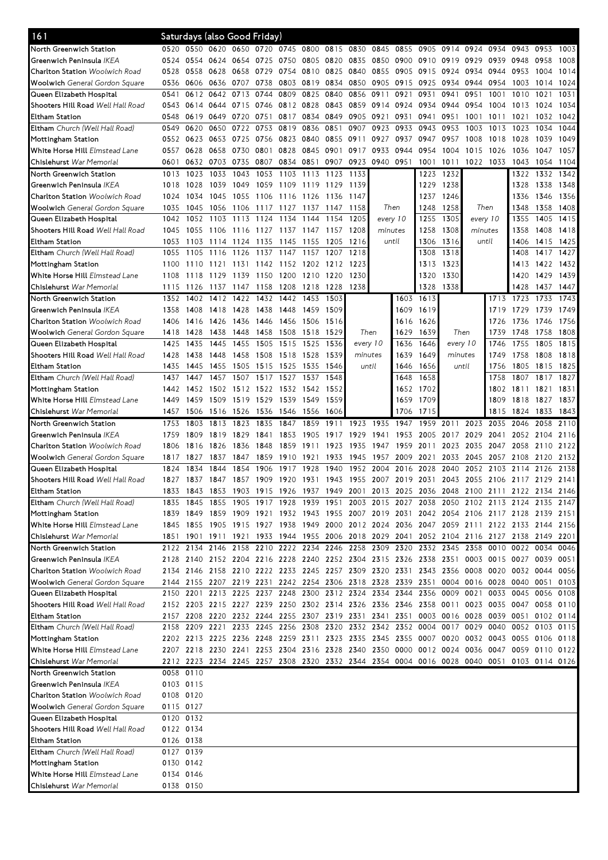| 161                                      | Saturdays (also Good Friday) |           |                                                        |           |           |                |      |           |                     |           |          |           |          |         |                                                                                           |      |           |      |
|------------------------------------------|------------------------------|-----------|--------------------------------------------------------|-----------|-----------|----------------|------|-----------|---------------------|-----------|----------|-----------|----------|---------|-------------------------------------------------------------------------------------------|------|-----------|------|
| North Greenwich Station                  |                              |           | 0520 0550 0620 0650 0720 0745 0800                     |           |           |                |      | 0815 0830 |                     | 0845      | 0855     | 0905      | 0914     | 0924    | 0934                                                                                      | 0943 | 0953      | 1003 |
| Greenwich Peninsula IKEA                 | 0524                         | 0554      | 0624 0654                                              |           | 0725      | 0750           | 0805 | 0820      | 0835                | 0850 0900 |          | 0910      | 0919     | 0929    | 0939 0948                                                                                 |      | 0958      | 1008 |
| <b>Charlton Station Woolwich Road</b>    | 0528                         | 0558      | 0628                                                   | 0658      | 0729      | 0754           | 0810 | 0825      | 0840                | 0855      | 0905     | 0915 0924 |          | 0934    | 0944 0953                                                                                 |      | 1004      | 1014 |
| Woolwich General Gordon Square           | 0536                         | 0606      | 0636 0707                                              |           | 0738      | 0803 0819      |      | 0834      | 0850                | 0905      | 0915     | 0925      | 0934     | 0944    | 0954                                                                                      | 1003 | 1014      | 1024 |
| Queen Elizabeth Hospital                 | 0541                         | 0612      | 0642 0713                                              |           | 0744      | 0809           | 0825 | 0840      | 0856                | 0911      | 0921     | 0931      | 0941     | 0951    | 1001                                                                                      | 1010 | 1021      | 1031 |
| Shooters Hill Road Well Hall Road        | 0543                         | 0614      | 0644                                                   | 0715      | 0746      | 0812 0828      |      | 0843      | 0859                | 0914      | 0924     | 0934      | 0944     | 0954    | 1004                                                                                      | 1013 | 1024      | 1034 |
| <b>Eltham Station</b>                    | 0548                         | 0619      | 0649 0720                                              |           | 0751      | 0817 0834      |      | 0849      | 0905                | 0921      | 0931     | 0941      | 0951     | 1001    | 1011                                                                                      | 1021 | 1032      | 1042 |
| Eltham Church (Well Hall Road)           | 0549                         | 0620      | 0650                                                   | 0722      | 0753      | 0819           | 0836 | 0851      | 0907                | 0923      | 0933     | 0943      | 0953     | 1003    | 1013                                                                                      | 1023 | 1034      | 1044 |
| Mottingham Station                       | 0552                         | 0623      | 0653 0725                                              |           | 0756      | 0823 0840      |      | 0855      | 0911                | 0927      | 0937     | 0947      | 0957     | 1008    | 1018                                                                                      | 1028 | 1039      | 1049 |
| White Horse Hill Elmstead Lane           | 0557                         | 0628      | 0658 0730                                              |           | 0801      | 0828           | 0845 | 0901      | 0917                | 0933      | 0944     | 0954      | 1004     | 1015    | 1026                                                                                      | 1036 | 1047      | 1057 |
| Chislehurst War Memorial                 | 0601                         |           | 0632 0703 0735                                         |           | 0807      | 0834 0851      |      |           | 0907 0923 0940 0951 |           |          |           |          |         | 1001 1011 1022 1033 1043                                                                  |      | 1054 1104 |      |
| North Greenwich Station                  | 1013                         | 1023      | 1033                                                   | 1043      | 1053      | 1103           | 1113 | 1123      | 1133                |           |          | 1223      | 1232     |         |                                                                                           | 1322 | 1332      | 1342 |
| Greenwich Peninsula IKEA                 | 1018                         | 1028      | 1039                                                   | 1049      | 1059      | 1109           | 1119 | 1129      | 1139                |           |          | 1229      | 1238     |         |                                                                                           | 1328 | 1338      | 1348 |
| <b>Charlton Station</b> Woolwich Road    | 1024                         | 1034      | 1045                                                   | 1055      | 1106      | 1116           | 1126 | 1136      | 1147                |           |          | 1237      | 1246     |         |                                                                                           | 1336 | 1346      | 1356 |
| <b>Woolwich</b> General Gordon Square    | 1035                         | 1045      | 1056                                                   | 1106      | 1117      | 1127           | 1137 | 1147      | 1158                |           | Then     | 1248      | 1258     | Then    |                                                                                           | 1348 | 1358      | 1408 |
| Queen Elizabeth Hospital                 | 1042                         | 1052      | 1103                                                   | 1113      | 1124      | 1134           | 1144 | 1154      | 1205                |           | every 10 | 1255      | 1305     |         | every 10                                                                                  | 1355 | 1405      | 1415 |
| Shooters Hill Road <i>Well Hall Road</i> | 1045                         | 1055      | 1106                                                   | 1116      |           | 1127 1137 1147 |      | 1157      | 1208                | minutes   |          | 1258      | 1308     | minutes |                                                                                           | 1358 | 1408      | 1418 |
| <b>Eltham Station</b>                    | 1053                         |           | 1114 1124                                              |           |           |                |      |           |                     |           | until    | 1306      | 1316     | until   |                                                                                           | 1406 | 1415 1425 |      |
|                                          |                              | 1103      |                                                        |           | 1135      | 1145           | 1155 | 1205      | 1216                |           |          |           |          |         |                                                                                           |      |           |      |
| Eltham Church (Well Hall Road)           | 1055                         | 1105      | 1116                                                   | 1126      | 1137      | 1147           | 1157 | 1207      | 1218                |           |          | 1308      | 1318     |         |                                                                                           | 1408 | 1417      | 1427 |
| Mottingham Station                       | 1100                         | 1110      | 1121                                                   | 1131      | 1142      | 1152           | 1202 | 1212      | 1223                |           |          | 1313      | 1323     |         |                                                                                           | 1413 | 1422 1432 |      |
| White Horse Hill Elmstead Lane           | 1108                         | 1118      | 1129                                                   | 1139      | 1150      | 1200           | 1210 | 1220      | 1230                |           |          | 1320      | 1330     |         |                                                                                           | 1420 | 1429      | 1439 |
| Chislehurst War Memorial                 | 1115                         | 1126      | 1137                                                   | 1147      | 1158      | 1208           | 1218 | 1228      | 1238                |           |          | 1328      | 1338     |         |                                                                                           | 1428 | 1437 1447 |      |
| North Greenwich Station                  | 1352                         | 1402      | 1412                                                   | 1422      | 1432      | 1442           | 1453 | 1503      |                     |           | 1603     | 1613      |          |         | 1713                                                                                      | 1723 | 1733      | 1743 |
| Greenwich Peninsula <i>IKEA</i>          | 1358                         | 1408      | 1418                                                   | 1428      | 1438      | 1448           | 1459 | 1509      |                     |           | 1609     | 1619      |          |         | 1719                                                                                      | 1729 | 1739      | 1749 |
| <b>Charlton Station</b> Woolwich Road    | 1406                         | 1416      | 1426                                                   | 1436      | 1446      | 1456           | 1506 | 1516      |                     |           | 1616     | 1626      |          |         | 1726                                                                                      | 1736 | 1746      | 1756 |
| <b>Woolwich</b> General Gordon Square    | 1418                         | 1428      | 1438                                                   | 1448      | 1458      | 1508           | 1518 | 1529      | Then                |           | 1629     | 1639      | Then     |         | 1739                                                                                      | 1748 | 1758      | 1808 |
| Queen Elizabeth Hospital                 | 1425                         | 1435      | 1445                                                   | 1455      | 1505      | 1515           | 1525 | 1536      | every 10            |           | 1636     | 1646      | every 10 |         | 1746                                                                                      | 1755 | 1805      | 1815 |
| Shooters Hill Road Well Hall Road        | 1428                         | 1438      | 1448                                                   | 1458      | 1508      | 1518           | 1528 | 1539      | minutes             |           | 1639     | 1649      | minutes  |         | 1749                                                                                      | 1758 | 1808      | 1818 |
| Eltham Station                           | 1435                         | 1445      | 1455                                                   | 1505      | 1515      | 1525           | 1535 | 1546      | until               |           | 1646     | 1656      | until    |         | 1756                                                                                      | 1805 | 1815      | 1825 |
| Eltham Church (Well Hall Road)           | 1437                         | 1447      | 1457                                                   | 1507      | 1517      | 1527           | 1537 | 1548      |                     |           | 1648     | 1658      |          |         | 1758                                                                                      | 1807 | 1817      | 1827 |
| Mottingham Station                       | 1442                         |           | 1452 1502 1512 1522 1532 1542                          |           |           |                |      | 1552      |                     |           |          | 1652 1702 |          |         | 1802                                                                                      | 1811 | 1821      | 1831 |
| White Horse Hill Elmstead Lane           | 1449                         | 1459      | 1509 1519                                              |           | 1529      | 1539           | 1549 | 1559      |                     |           | 1659     | 1709      |          |         | 1809                                                                                      | 1818 | 1827      | 1837 |
| Chislehurst War Memorial                 | 1457                         | 1506      |                                                        | 1516 1526 | 1536      | 1546           | 1556 | 1606      |                     |           | 1706     | 1715      |          |         | 1815                                                                                      | 1824 | 1833      | 1843 |
|                                          |                              |           |                                                        |           |           |                |      |           |                     |           |          |           |          |         |                                                                                           |      |           |      |
| North Greenwich Station                  | 1753                         | 1803      | 1813                                                   | 1823      | 1835      | 1847           | 1859 | 1911      | 1923                | 1935      | 1947     | 1959      | 2011     | 2023    | 2035                                                                                      | 2046 | 2058      | 2110 |
| Greenwich Peninsula IKEA                 | 1759                         | 1809      | 1819                                                   | 1829      | 1841      | 1853           | 1905 | 1917      | 1929                | 1941      | 1953     | 2005      | 2017     | 2029    | 2041                                                                                      | 2052 | 2104      | 2116 |
| <b>Charlton Station</b> Woolwich Road    | 1806                         | 1816      | 1826                                                   | 1836      | 1848      | 1859           | 1911 | 1923      | 1935                | 1947      | 1959     | 2011      | 2023     | 2035    | 2047 2058                                                                                 |      | 2110      | 2122 |
| Woolwich General Gordon Square           | 1817                         | 1827      | 1837                                                   | 1847      | 1859      | 1910           | 1921 | 1933      | 1945                | 1957      | 2009     | 2021      | 2033     | 2045    | 2057                                                                                      | 2108 | 2120      | 2132 |
| Queen Elizabeth Hospital                 | 1824                         | 1834      | 1844                                                   | 1854      | 1906      | 1917           | 1928 | 1940      | 1952                | 2004      | 2016     | 2028      | 2040     | 2052    | 2103                                                                                      | 2114 | 2126      | 2138 |
| Shooters Hill Road Well Hall Road        | 1827                         |           | 1837 1847                                              |           |           |                |      |           |                     |           |          |           |          |         | 1857 1909 1920 1931 1943 1955 2007 2019 2031 2043 2055 2106 2117 2129 2141                |      |           |      |
| <b>Eltham Station</b>                    | 1833                         | 1843      | 1853                                                   |           |           |                |      |           |                     |           |          |           |          |         | 1903 1915 1926 1937 1949 2001 2013 2025 2036 2048 2100 2111 2122 2134 2146                |      |           |      |
| <b>Eltham</b> Church (Well Hall Road)    | 1835                         | 1845      | 1855 1905                                              |           | 1917 1928 |                |      |           |                     |           |          |           |          |         | 1939 1951 2003 2015 2027 2038 2050 2102 2113 2124 2135 2147                               |      |           |      |
| Mottingham Station                       | 1839                         | 1849      |                                                        |           |           |                |      |           |                     |           |          |           |          |         |                                                                                           |      |           |      |
| White Horse Hill Elmstead Lane           | 1845                         |           |                                                        |           |           |                |      |           |                     |           |          |           |          |         | 1859 1909 1921 1932 1943 1955 2007 2019 2031 2042 2054 2106 2117 2128 2139 2151           |      |           |      |
|                                          |                              |           |                                                        |           |           |                |      |           |                     |           |          |           |          |         | 1855 1905 1915 1927 1938 1949 2000 2012 2024 2036 2047 2059 2111 2122 2133 2144 2156      |      |           |      |
| Chislehurst War Memorial                 |                              |           |                                                        |           |           |                |      |           |                     |           |          |           |          |         | 1851 1901 1911 1921 1933 1944 1955 2006 2018 2029 2041 2052 2104 2116 2127 2138 2149 2201 |      |           |      |
| North Greenwich Station                  |                              |           |                                                        |           |           |                |      |           |                     |           |          |           |          |         | 2122 2134 2146 2158 2210 2222 2234 2246 2258 2309 2320 2332 2345 2358 0010 0022 0034 0046 |      |           |      |
| Greenwich Peninsula IKEA                 |                              |           |                                                        |           |           |                |      |           |                     |           |          |           |          |         | 2128 2140 2152 2204 2216 2228 2240 2252 2304 2315 2326 2338 2351 0003 0015 0027 0039 0051 |      |           |      |
| Charlton Station Woolwich Road           |                              |           |                                                        |           |           |                |      |           |                     |           |          |           |          |         | 2134 2146 2158 2210 2222 2233 2245 2257 2309 2320 2331 2343 2356 0008 0020 0032 0044 0056 |      |           |      |
| <b>Woolwich</b> General Gordon Square    |                              |           |                                                        |           |           |                |      |           |                     |           |          |           |          |         | 2144 2155 2207 2219 2231 2242 2254 2306 2318 2328 2339 2351 0004 0016 0028 0040 0051      |      |           | 0103 |
| Queen Elizabeth Hospital                 |                              | 2150 2201 |                                                        |           |           |                |      |           |                     |           |          |           |          |         | 2213 2225 2237 2248 2300 2312 2324 2334 2344 2356 0009 0021 0033 0045 0056                |      |           | 0108 |
| Shooters Hill Road Well Hall Road        |                              |           |                                                        |           |           |                |      |           |                     |           |          |           |          |         | 2152 2203 2215 2227 2239 2250 2302 2314 2326 2336 2346 2358 0011 0023 0035 0047 0058 0110 |      |           |      |
| Eltham Station                           |                              |           | 2157 2208 2220 2232 2244 2255 2307 2319 2331 2341 2351 |           |           |                |      |           |                     |           |          |           |          |         | 0003 0016 0028 0039 0051                                                                  |      | 0102 0114 |      |
| Eltham Church (Well Hall Road)           |                              |           |                                                        |           |           |                |      |           |                     |           |          |           |          |         | 2158 2209 2221 2233 2245 2256 2308 2320 2332 2342 2352 0004 0017 0029 0040 0052 0103 0115 |      |           |      |
| Mottingham Station                       |                              |           |                                                        |           |           |                |      |           |                     |           |          |           |          |         | 2202 2213 2225 2236 2248 2259 2311 2323 2335 2345 2355 0007 0020 0032 0043 0055 0106 0118 |      |           |      |
| White Horse Hill Elmstead Lane           |                              |           |                                                        |           |           |                |      |           |                     |           |          |           |          |         | 2207 2218 2230 2241 2253 2304 2316 2328 2340 2350 0000 0012 0024 0036 0047 0059 0110 0122 |      |           |      |
| Chislehurst War Memorial                 |                              |           |                                                        |           |           |                |      |           |                     |           |          |           |          |         | 2212 2223 2234 2245 2257 2308 2320 2332 2344 2354 0004 0016 0028 0040 0051 0103 0114 0126 |      |           |      |
| North Greenwich Station                  |                              | 0058 0110 |                                                        |           |           |                |      |           |                     |           |          |           |          |         |                                                                                           |      |           |      |
| Greenwich Peninsula IKEA                 |                              | 0103 0115 |                                                        |           |           |                |      |           |                     |           |          |           |          |         |                                                                                           |      |           |      |
| Charlton Station Woolwich Road           |                              | 0108 0120 |                                                        |           |           |                |      |           |                     |           |          |           |          |         |                                                                                           |      |           |      |
| <b>Woolwich</b> General Gordon Square    |                              | 0115 0127 |                                                        |           |           |                |      |           |                     |           |          |           |          |         |                                                                                           |      |           |      |
| Queen Elizabeth Hospital                 |                              | 0120 0132 |                                                        |           |           |                |      |           |                     |           |          |           |          |         |                                                                                           |      |           |      |
| Shooters Hill Road <i>Well Hall Road</i> |                              | 0122 0134 |                                                        |           |           |                |      |           |                     |           |          |           |          |         |                                                                                           |      |           |      |
| Eltham Station                           |                              | 0126 0138 |                                                        |           |           |                |      |           |                     |           |          |           |          |         |                                                                                           |      |           |      |
| Eltham Church (Well Hall Road)           |                              | 0127 0139 |                                                        |           |           |                |      |           |                     |           |          |           |          |         |                                                                                           |      |           |      |
| Mottingham Station                       |                              | 0130 0142 |                                                        |           |           |                |      |           |                     |           |          |           |          |         |                                                                                           |      |           |      |
| White Horse Hill Elmstead Lane           |                              | 0134 0146 |                                                        |           |           |                |      |           |                     |           |          |           |          |         |                                                                                           |      |           |      |